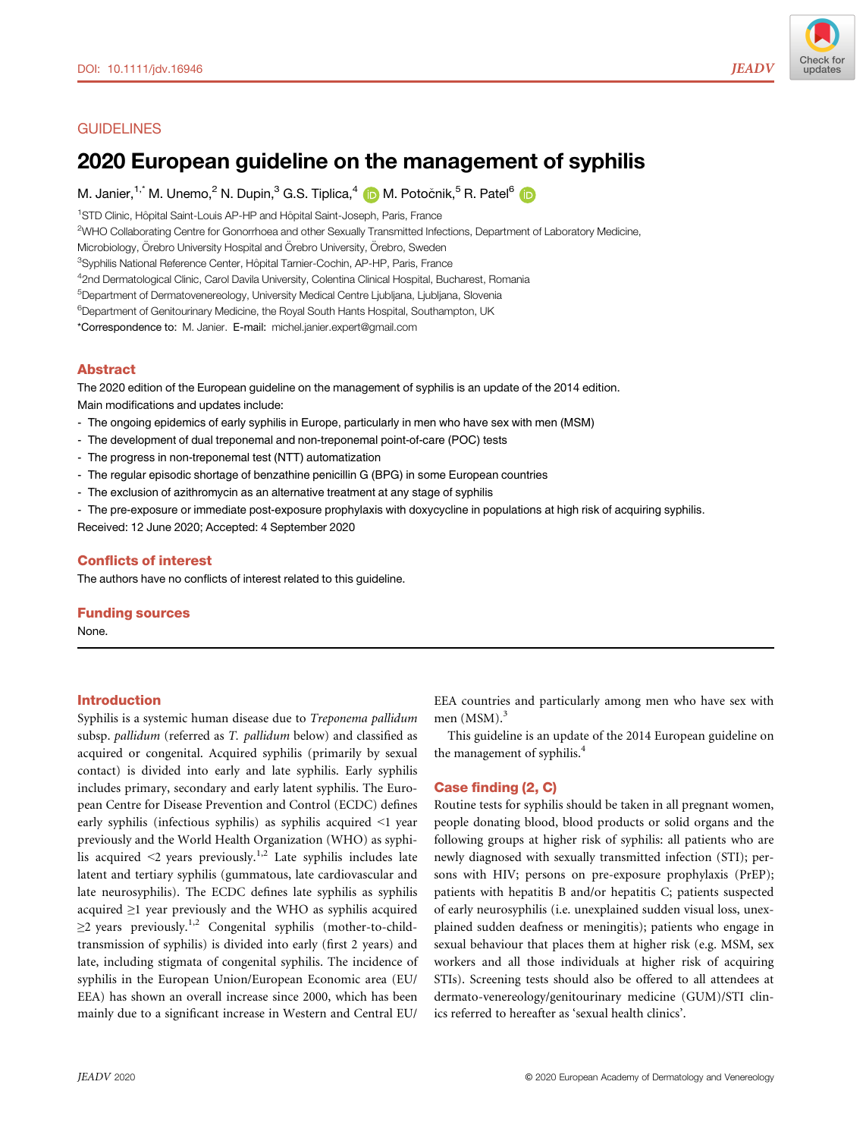

# **GUIDELINES**

# 2020 European guideline on the management of syphilis

M. Janier,<sup>1,\*</sup> M. Unemo,<sup>2</sup> N. Dupin,<sup>3</sup> G.S. Tiplica,<sup>[4](https://orcid.org/0000-0002-8719-6952)</sup> (D. M. Potočnik,<sup>5</sup> R. Patel<sup>6</sup> (D.

<sup>1</sup>STD Clinic, Hôpital Saint-Louis AP-HP and Hôpital Saint-Joseph, Paris, France

2 WHO Collaborating Centre for Gonorrhoea and other Sexually Transmitted Infections, Department of Laboratory Medicine,

Microbiology, Örebro University Hospital and Örebro University, Örebro, Sweden

<sup>3</sup>Syphilis National Reference Center, Hôpital Tarnier-Cochin, AP-HP, Paris, France

<sup>4</sup>2nd Dermatological Clinic, Carol Davila University, Colentina Clinical Hospital, Bucharest, Romania

5 Department of Dermatovenereology, University Medical Centre Ljubljana, Ljubljana, Slovenia

<sup>6</sup>Department of Genitourinary Medicine, the Royal South Hants Hospital, Southampton, UK

\*Correspondence to: M. Janier. E-mail: [michel.janier.expert@gmail.com](mailto:)

# **Abstract**

The 2020 edition of the European guideline on the management of syphilis is an update of the 2014 edition. Main modifications and updates include:

- The ongoing epidemics of early syphilis in Europe, particularly in men who have sex with men (MSM)
- The development of dual treponemal and non-treponemal point-of-care (POC) tests
- The progress in non-treponemal test (NTT) automatization
- The regular episodic shortage of benzathine penicillin G (BPG) in some European countries
- The exclusion of azithromycin as an alternative treatment at any stage of syphilis
- The pre-exposure or immediate post-exposure prophylaxis with doxycycline in populations at high risk of acquiring syphilis.

Received: 12 June 2020; Accepted: 4 September 2020

# Conflicts of interest

The authors have no conflicts of interest related to this guideline.

# Funding sources

None.

# Introduction

Syphilis is a systemic human disease due to Treponema pallidum subsp. pallidum (referred as T. pallidum below) and classified as acquired or congenital. Acquired syphilis (primarily by sexual contact) is divided into early and late syphilis. Early syphilis includes primary, secondary and early latent syphilis. The European Centre for Disease Prevention and Control (ECDC) defines early syphilis (infectious syphilis) as syphilis acquired <1 year previously and the World Health Organization (WHO) as syphilis acquired  $\leq$  years previously.<sup>1,2</sup> Late syphilis includes late latent and tertiary syphilis (gummatous, late cardiovascular and late neurosyphilis). The ECDC defines late syphilis as syphilis acquired ≥1 year previously and the WHO as syphilis acquired  $\geq$ 2 years previously.<sup>1,2</sup> Congenital syphilis (mother-to-childtransmission of syphilis) is divided into early (first 2 years) and late, including stigmata of congenital syphilis. The incidence of syphilis in the European Union/European Economic area (EU/ EEA) has shown an overall increase since 2000, which has been mainly due to a significant increase in Western and Central EU/ EEA countries and particularly among men who have sex with men (MSM).<sup>3</sup>

This guideline is an update of the 2014 European guideline on the management of syphilis.<sup>4</sup>

# Case finding (2, C)

Routine tests for syphilis should be taken in all pregnant women, people donating blood, blood products or solid organs and the following groups at higher risk of syphilis: all patients who are newly diagnosed with sexually transmitted infection (STI); persons with HIV; persons on pre-exposure prophylaxis (PrEP); patients with hepatitis B and/or hepatitis C; patients suspected of early neurosyphilis (i.e. unexplained sudden visual loss, unexplained sudden deafness or meningitis); patients who engage in sexual behaviour that places them at higher risk (e.g. MSM, sex workers and all those individuals at higher risk of acquiring STIs). Screening tests should also be offered to all attendees at dermato-venereology/genitourinary medicine (GUM)/STI clinics referred to hereafter as 'sexual health clinics'.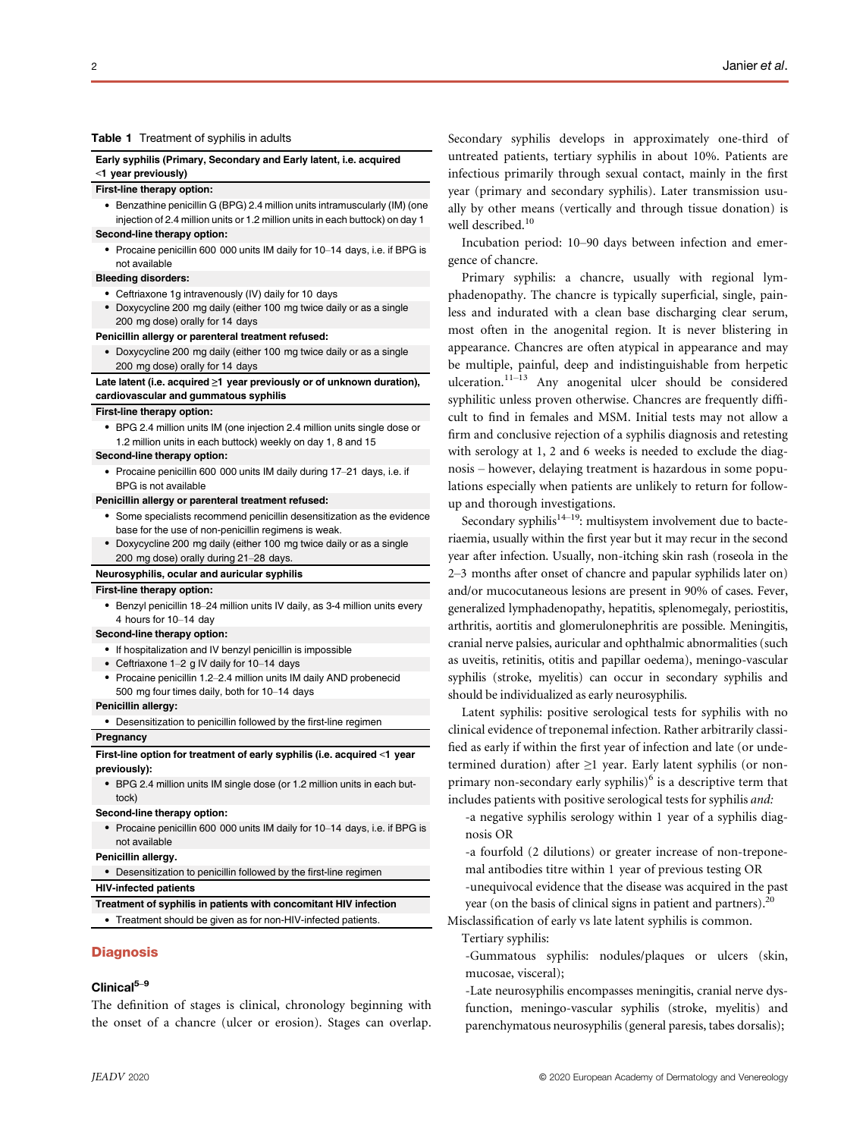## Table 1 Treatment of syphilis in adults

Early syphilis (Primary, Secondary and Early latent, i.e. acquired <1 year previously)

#### First-line therapy option:

• Benzathine penicillin G (BPG) 2.4 million units intramuscularly (IM) (one injection of 2.4 million units or 1.2 million units in each buttock) on day 1

## Second-line therapy option:

• Procaine penicillin 600 000 units IM daily for 10–14 days, i.e. if BPG is not available

#### Bleeding disorders:

- Ceftriaxone 1g intravenously (IV) daily for 10 days
- Doxycycline 200 mg daily (either 100 mg twice daily or as a single 200 mg dose) orally for 14 days

#### Penicillin allergy or parenteral treatment refused:

• Doxycycline 200 mg daily (either 100 mg twice daily or as a single 200 mg dose) orally for 14 days

#### Late latent (i.e. acquired ≥1 year previously or of unknown duration), cardiovascular and gummatous syphilis

#### First-line therapy option:

• BPG 2.4 million units IM (one injection 2.4 million units single dose or 1.2 million units in each buttock) weekly on day 1, 8 and 15

#### Second-line therapy option:

• Procaine penicillin 600 000 units IM daily during 17–21 days, i.e. if BPG is not available

#### Penicillin allergy or parenteral treatment refused:

- Some specialists recommend penicillin desensitization as the evidence base for the use of non-penicillin regimens is weak.
- Doxycycline 200 mg daily (either 100 mg twice daily or as a single 200 mg dose) orally during 21–28 days.

#### Neurosyphilis, ocular and auricular syphilis

#### First-line therapy option:

• Benzyl penicillin 18–24 million units IV daily, as 3-4 million units every 4 hours for 10–14 day

#### Second-line therapy option:

- If hospitalization and IV benzyl penicillin is impossible
- Ceftriaxone 1–2 g IV daily for 10–14 days
- Procaine penicillin 1.2–2.4 million units IM daily AND probenecid 500 mg four times daily, both for 10–14 days
- Penicillin allergy:

• Desensitization to penicillin followed by the first-line regimen

#### **Pregnancy**

#### First-line option for treatment of early syphilis (i.e. acquired <1 year previously):

• BPG 2.4 million units IM single dose (or 1.2 million units in each buttock)

#### Second-line therapy option:

• Procaine penicillin 600 000 units IM daily for 10–14 days, i.e. if BPG is not available

#### Penicillin allergy.

• Desensitization to penicillin followed by the first-line regimen HIV-infected patients

Treatment of syphilis in patients with concomitant HIV infection

• Treatment should be given as for non-HIV-infected patients.

## **Diagnosis**

## $Clinical<sup>5-9</sup>$

The definition of stages is clinical, chronology beginning with the onset of a chancre (ulcer or erosion). Stages can overlap. Secondary syphilis develops in approximately one-third of untreated patients, tertiary syphilis in about 10%. Patients are infectious primarily through sexual contact, mainly in the first year (primary and secondary syphilis). Later transmission usually by other means (vertically and through tissue donation) is well described.<sup>10</sup>

Incubation period: 10–90 days between infection and emergence of chancre.

Primary syphilis: a chancre, usually with regional lymphadenopathy. The chancre is typically superficial, single, painless and indurated with a clean base discharging clear serum, most often in the anogenital region. It is never blistering in appearance. Chancres are often atypical in appearance and may be multiple, painful, deep and indistinguishable from herpetic ulceration.<sup>11–13</sup> Any anogenital ulcer should be considered syphilitic unless proven otherwise. Chancres are frequently difficult to find in females and MSM. Initial tests may not allow a firm and conclusive rejection of a syphilis diagnosis and retesting with serology at 1, 2 and 6 weeks is needed to exclude the diagnosis – however, delaying treatment is hazardous in some populations especially when patients are unlikely to return for followup and thorough investigations.

Secondary syphilis<sup>14–19</sup>: multisystem involvement due to bacteriaemia, usually within the first year but it may recur in the second year after infection. Usually, non-itching skin rash (roseola in the 2–3 months after onset of chancre and papular syphilids later on) and/or mucocutaneous lesions are present in 90% of cases. Fever, generalized lymphadenopathy, hepatitis, splenomegaly, periostitis, arthritis, aortitis and glomerulonephritis are possible. Meningitis, cranial nerve palsies, auricular and ophthalmic abnormalities (such as uveitis, retinitis, otitis and papillar oedema), meningo-vascular syphilis (stroke, myelitis) can occur in secondary syphilis and should be individualized as early neurosyphilis.

Latent syphilis: positive serological tests for syphilis with no clinical evidence of treponemal infection. Rather arbitrarily classified as early if within the first year of infection and late (or undetermined duration) after  $\geq$ 1 year. Early latent syphilis (or nonprimary non-secondary early syphilis) $<sup>6</sup>$  is a descriptive term that</sup> includes patients with positive serological tests for syphilis and:

-a negative syphilis serology within 1 year of a syphilis diagnosis OR

-a fourfold (2 dilutions) or greater increase of non-treponemal antibodies titre within 1 year of previous testing OR -unequivocal evidence that the disease was acquired in the past

year (on the basis of clinical signs in patient and partners).<sup>20</sup>

Misclassification of early vs late latent syphilis is common.

Tertiary syphilis:

-Gummatous syphilis: nodules/plaques or ulcers (skin, mucosae, visceral);

-Late neurosyphilis encompasses meningitis, cranial nerve dysfunction, meningo-vascular syphilis (stroke, myelitis) and parenchymatous neurosyphilis (general paresis, tabes dorsalis);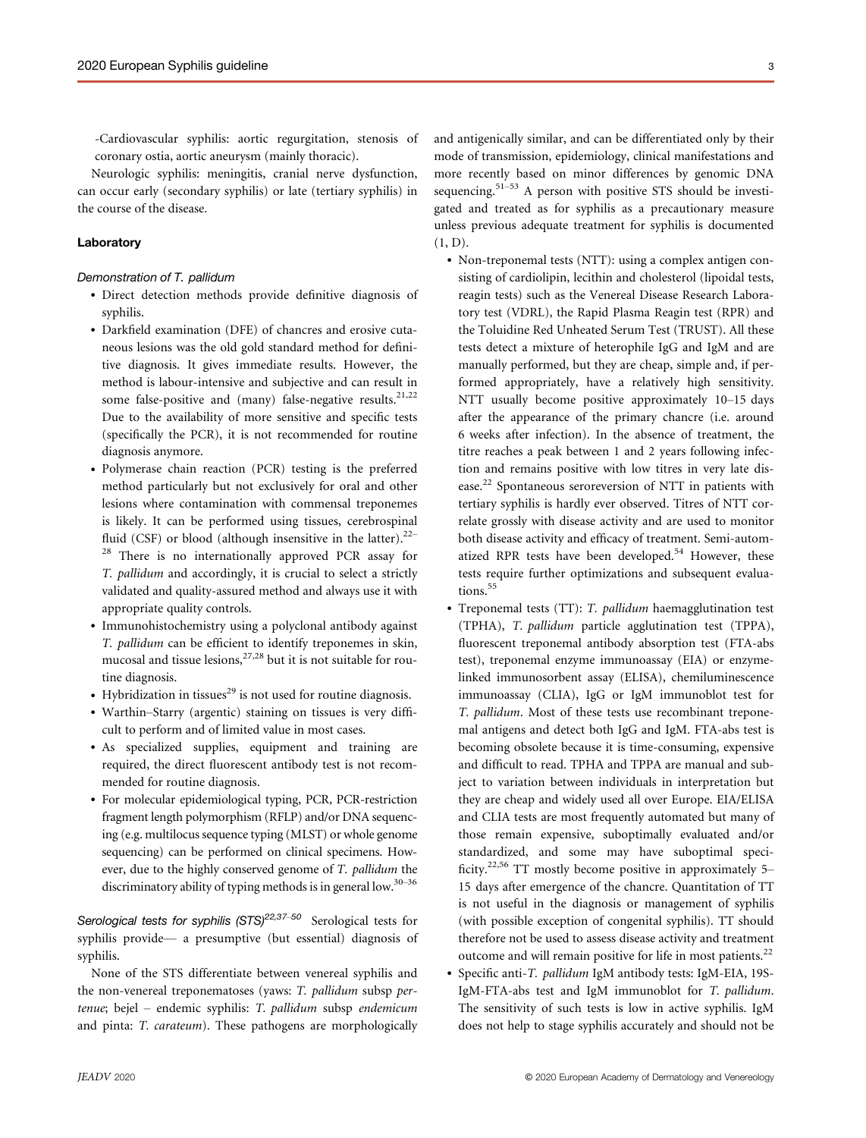-Cardiovascular syphilis: aortic regurgitation, stenosis of coronary ostia, aortic aneurysm (mainly thoracic).

Neurologic syphilis: meningitis, cranial nerve dysfunction, can occur early (secondary syphilis) or late (tertiary syphilis) in the course of the disease.

## **Laboratory**

# Demonstration of T. pallidum

- Direct detection methods provide definitive diagnosis of syphilis.
- Darkfield examination (DFE) of chancres and erosive cutaneous lesions was the old gold standard method for definitive diagnosis. It gives immediate results. However, the method is labour-intensive and subjective and can result in some false-positive and (many) false-negative results.<sup>21,22</sup> Due to the availability of more sensitive and specific tests (specifically the PCR), it is not recommended for routine diagnosis anymore.
- Polymerase chain reaction (PCR) testing is the preferred method particularly but not exclusively for oral and other lesions where contamination with commensal treponemes is likely. It can be performed using tissues, cerebrospinal fluid (CSF) or blood (although insensitive in the latter).<sup>22–</sup> <sup>28</sup> There is no internationally approved PCR assay for T. pallidum and accordingly, it is crucial to select a strictly validated and quality-assured method and always use it with appropriate quality controls.
- Immunohistochemistry using a polyclonal antibody against T. pallidum can be efficient to identify treponemes in skin, mucosal and tissue lesions, $27,28$  but it is not suitable for routine diagnosis.
- Hybridization in tissues<sup>29</sup> is not used for routine diagnosis.
- Warthin–Starry (argentic) staining on tissues is very difficult to perform and of limited value in most cases.
- As specialized supplies, equipment and training are required, the direct fluorescent antibody test is not recommended for routine diagnosis.
- For molecular epidemiological typing, PCR, PCR-restriction fragment length polymorphism (RFLP) and/or DNA sequencing (e.g. multilocus sequence typing (MLST) or whole genome sequencing) can be performed on clinical specimens. However, due to the highly conserved genome of T. pallidum the discriminatory ability of typing methods is in general low.<sup>30-36</sup>

Serological tests for syphilis  $(STS)^{22,37-50}$  Serological tests for syphilis provide— a presumptive (but essential) diagnosis of syphilis.

None of the STS differentiate between venereal syphilis and the non-venereal treponematoses (yaws: T. pallidum subsp pertenue; bejel – endemic syphilis: T. pallidum subsp endemicum and pinta: T. carateum). These pathogens are morphologically and antigenically similar, and can be differentiated only by their mode of transmission, epidemiology, clinical manifestations and more recently based on minor differences by genomic DNA sequencing.<sup>51–53</sup> A person with positive STS should be investigated and treated as for syphilis as a precautionary measure unless previous adequate treatment for syphilis is documented  $(1, D)$ .

- Non-treponemal tests (NTT): using a complex antigen consisting of cardiolipin, lecithin and cholesterol (lipoidal tests, reagin tests) such as the Venereal Disease Research Laboratory test (VDRL), the Rapid Plasma Reagin test (RPR) and the Toluidine Red Unheated Serum Test (TRUST). All these tests detect a mixture of heterophile IgG and IgM and are manually performed, but they are cheap, simple and, if performed appropriately, have a relatively high sensitivity. NTT usually become positive approximately 10–15 days after the appearance of the primary chancre (i.e. around 6 weeks after infection). In the absence of treatment, the titre reaches a peak between 1 and 2 years following infection and remains positive with low titres in very late disease.<sup>22</sup> Spontaneous seroreversion of NTT in patients with tertiary syphilis is hardly ever observed. Titres of NTT correlate grossly with disease activity and are used to monitor both disease activity and efficacy of treatment. Semi-automatized RPR tests have been developed.<sup>54</sup> However, these tests require further optimizations and subsequent evaluations.<sup>55</sup>
- Treponemal tests (TT): T. pallidum haemagglutination test (TPHA), T. pallidum particle agglutination test (TPPA), fluorescent treponemal antibody absorption test (FTA-abs test), treponemal enzyme immunoassay (EIA) or enzymelinked immunosorbent assay (ELISA), chemiluminescence immunoassay (CLIA), IgG or IgM immunoblot test for T. pallidum. Most of these tests use recombinant treponemal antigens and detect both IgG and IgM. FTA-abs test is becoming obsolete because it is time-consuming, expensive and difficult to read. TPHA and TPPA are manual and subject to variation between individuals in interpretation but they are cheap and widely used all over Europe. EIA/ELISA and CLIA tests are most frequently automated but many of those remain expensive, suboptimally evaluated and/or standardized, and some may have suboptimal specificity.<sup>22,56</sup> TT mostly become positive in approximately 5– 15 days after emergence of the chancre. Quantitation of TT is not useful in the diagnosis or management of syphilis (with possible exception of congenital syphilis). TT should therefore not be used to assess disease activity and treatment outcome and will remain positive for life in most patients.<sup>22</sup>
- Specific anti-T. pallidum IgM antibody tests: IgM-EIA, 19S-IgM-FTA-abs test and IgM immunoblot for T. pallidum. The sensitivity of such tests is low in active syphilis. IgM does not help to stage syphilis accurately and should not be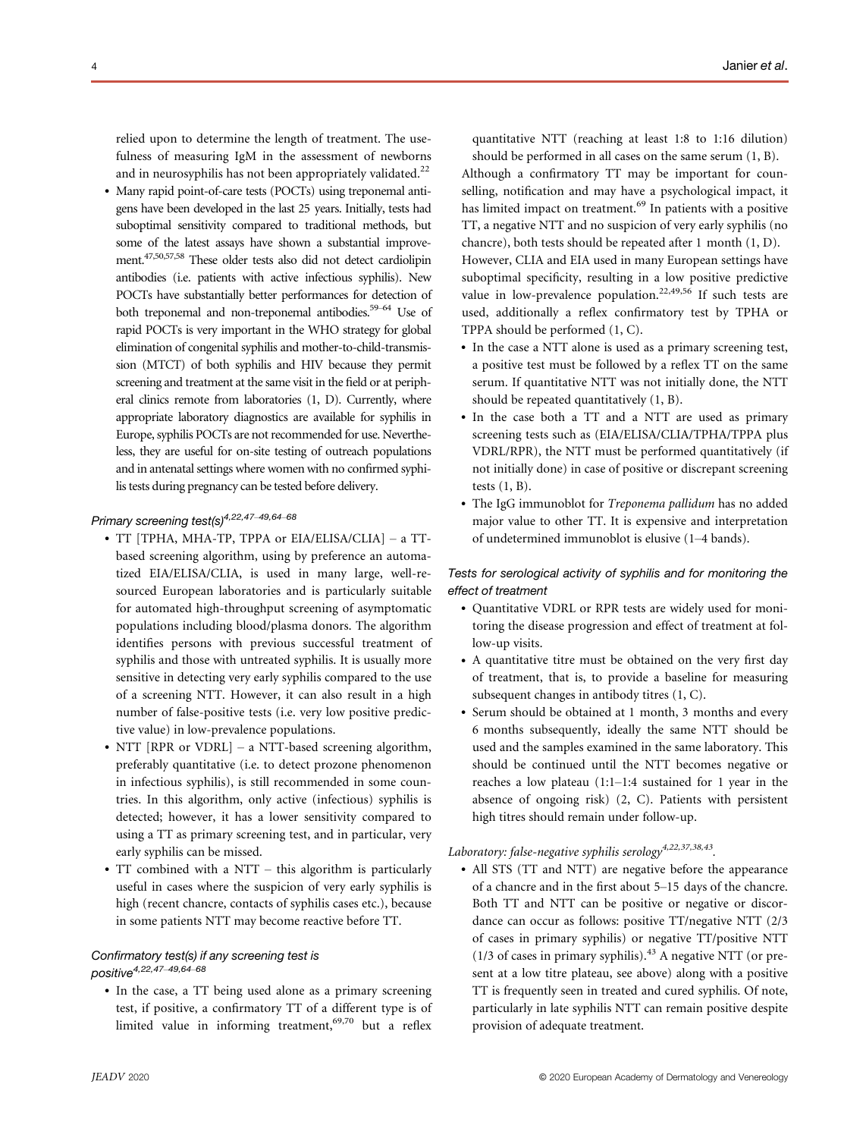relied upon to determine the length of treatment. The usefulness of measuring IgM in the assessment of newborns and in neurosyphilis has not been appropriately validated.<sup>22</sup>

• Many rapid point-of-care tests (POCTs) using treponemal antigens have been developed in the last 25 years. Initially, tests had suboptimal sensitivity compared to traditional methods, but some of the latest assays have shown a substantial improvement.47,50,57,58 These older tests also did not detect cardiolipin antibodies (i.e. patients with active infectious syphilis). New POCTs have substantially better performances for detection of both treponemal and non-treponemal antibodies.<sup>59-64</sup> Use of rapid POCTs is very important in the WHO strategy for global elimination of congenital syphilis and mother-to-child-transmission (MTCT) of both syphilis and HIV because they permit screening and treatment at the same visit in the field or at peripheral clinics remote from laboratories (1, D). Currently, where appropriate laboratory diagnostics are available for syphilis in Europe, syphilis POCTs are not recommended for use. Nevertheless, they are useful for on-site testing of outreach populations and in antenatal settings where women with no confirmed syphilis tests during pregnancy can be tested before delivery.

# Primary screening test(s)<sup>4,22,47-49,64-68</sup>

- TT [TPHA, MHA-TP, TPPA or EIA/ELISA/CLIA] a TTbased screening algorithm, using by preference an automatized EIA/ELISA/CLIA, is used in many large, well-resourced European laboratories and is particularly suitable for automated high-throughput screening of asymptomatic populations including blood/plasma donors. The algorithm identifies persons with previous successful treatment of syphilis and those with untreated syphilis. It is usually more sensitive in detecting very early syphilis compared to the use of a screening NTT. However, it can also result in a high number of false-positive tests (i.e. very low positive predictive value) in low-prevalence populations.
- NTT [RPR or VDRL] a NTT-based screening algorithm, preferably quantitative (i.e. to detect prozone phenomenon in infectious syphilis), is still recommended in some countries. In this algorithm, only active (infectious) syphilis is detected; however, it has a lower sensitivity compared to using a TT as primary screening test, and in particular, very early syphilis can be missed.
- TT combined with a NTT this algorithm is particularly useful in cases where the suspicion of very early syphilis is high (recent chancre, contacts of syphilis cases etc.), because in some patients NTT may become reactive before TT.

# Confirmatory test(s) if any screening test is positive4,22,47–49,64–<sup>68</sup>

• In the case, a TT being used alone as a primary screening test, if positive, a confirmatory TT of a different type is of limited value in informing treatment,  $69,70$  but a reflex

quantitative NTT (reaching at least 1:8 to 1:16 dilution) should be performed in all cases on the same serum (1, B).

Although a confirmatory TT may be important for counselling, notification and may have a psychological impact, it has limited impact on treatment.<sup>69</sup> In patients with a positive TT, a negative NTT and no suspicion of very early syphilis (no chancre), both tests should be repeated after 1 month (1, D). However, CLIA and EIA used in many European settings have suboptimal specificity, resulting in a low positive predictive value in low-prevalence population.<sup>22,49,56</sup> If such tests are used, additionally a reflex confirmatory test by TPHA or TPPA should be performed (1, C).

- In the case a NTT alone is used as a primary screening test, a positive test must be followed by a reflex TT on the same serum. If quantitative NTT was not initially done, the NTT should be repeated quantitatively (1, B).
- In the case both a TT and a NTT are used as primary screening tests such as (EIA/ELISA/CLIA/TPHA/TPPA plus VDRL/RPR), the NTT must be performed quantitatively (if not initially done) in case of positive or discrepant screening tests  $(1, B)$ .
- The IgG immunoblot for Treponema pallidum has no added major value to other TT. It is expensive and interpretation of undetermined immunoblot is elusive (1–4 bands).

# Tests for serological activity of syphilis and for monitoring the effect of treatment

- Quantitative VDRL or RPR tests are widely used for monitoring the disease progression and effect of treatment at follow-up visits.
- A quantitative titre must be obtained on the very first day of treatment, that is, to provide a baseline for measuring subsequent changes in antibody titres (1, C).
- Serum should be obtained at 1 month, 3 months and every 6 months subsequently, ideally the same NTT should be used and the samples examined in the same laboratory. This should be continued until the NTT becomes negative or reaches a low plateau (1:1–1:4 sustained for 1 year in the absence of ongoing risk) (2, C). Patients with persistent high titres should remain under follow-up.

# Laboratory: false-negative syphilis serology $4,22,37,38,43$ .

• All STS (TT and NTT) are negative before the appearance of a chancre and in the first about 5–15 days of the chancre. Both TT and NTT can be positive or negative or discordance can occur as follows: positive TT/negative NTT (2/3 of cases in primary syphilis) or negative TT/positive NTT ( $1/3$  of cases in primary syphilis). $^{43}$  A negative NTT (or present at a low titre plateau, see above) along with a positive TT is frequently seen in treated and cured syphilis. Of note, particularly in late syphilis NTT can remain positive despite provision of adequate treatment.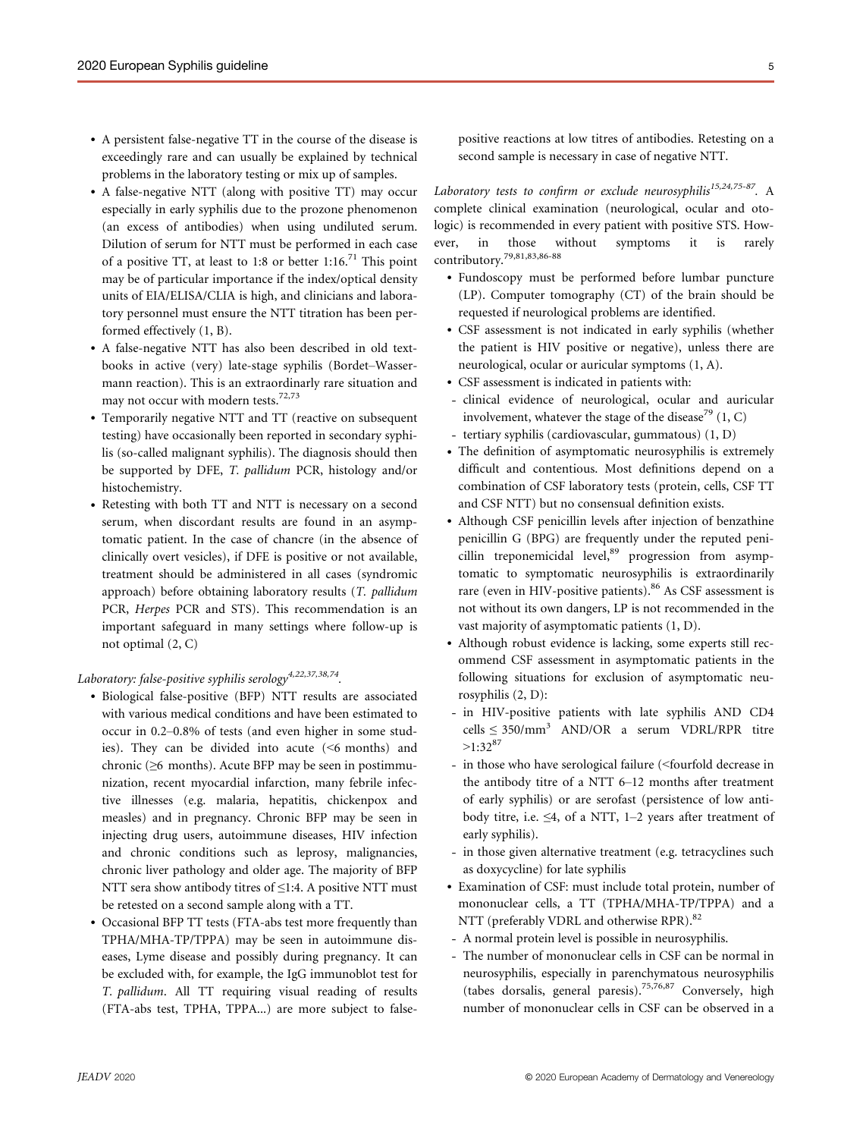- A persistent false-negative TT in the course of the disease is exceedingly rare and can usually be explained by technical problems in the laboratory testing or mix up of samples.
- A false-negative NTT (along with positive TT) may occur especially in early syphilis due to the prozone phenomenon (an excess of antibodies) when using undiluted serum. Dilution of serum for NTT must be performed in each case of a positive TT, at least to 1:8 or better 1:16.<sup>71</sup> This point may be of particular importance if the index/optical density units of EIA/ELISA/CLIA is high, and clinicians and laboratory personnel must ensure the NTT titration has been performed effectively (1, B).
- A false-negative NTT has also been described in old textbooks in active (very) late-stage syphilis (Bordet–Wassermann reaction). This is an extraordinarly rare situation and may not occur with modern tests.<sup>72,73</sup>
- Temporarily negative NTT and TT (reactive on subsequent testing) have occasionally been reported in secondary syphilis (so-called malignant syphilis). The diagnosis should then be supported by DFE, T. pallidum PCR, histology and/or histochemistry.
- Retesting with both TT and NTT is necessary on a second serum, when discordant results are found in an asymptomatic patient. In the case of chancre (in the absence of clinically overt vesicles), if DFE is positive or not available, treatment should be administered in all cases (syndromic approach) before obtaining laboratory results (T. pallidum PCR, Herpes PCR and STS). This recommendation is an important safeguard in many settings where follow-up is not optimal (2, C)

Laboratory: false-positive syphilis serology<sup>4,22,37,38,74</sup>.

- Biological false-positive (BFP) NTT results are associated with various medical conditions and have been estimated to occur in 0.2–0.8% of tests (and even higher in some studies). They can be divided into acute (<6 months) and chronic (≥6 months). Acute BFP may be seen in postimmunization, recent myocardial infarction, many febrile infective illnesses (e.g. malaria, hepatitis, chickenpox and measles) and in pregnancy. Chronic BFP may be seen in injecting drug users, autoimmune diseases, HIV infection and chronic conditions such as leprosy, malignancies, chronic liver pathology and older age. The majority of BFP NTT sera show antibody titres of  $\leq$ 1:4. A positive NTT must be retested on a second sample along with a TT.
- Occasional BFP TT tests (FTA-abs test more frequently than TPHA/MHA-TP/TPPA) may be seen in autoimmune diseases, Lyme disease and possibly during pregnancy. It can be excluded with, for example, the IgG immunoblot test for T. pallidum. All TT requiring visual reading of results (FTA-abs test, TPHA, TPPA...) are more subject to false-

positive reactions at low titres of antibodies. Retesting on a second sample is necessary in case of negative NTT.

Laboratory tests to confirm or exclude neurosyphilis<sup>15,24,75-87</sup>. A complete clinical examination (neurological, ocular and otologic) is recommended in every patient with positive STS. However, in those without symptoms it is rarely contributory.79,81,83,86-88

- Fundoscopy must be performed before lumbar puncture (LP). Computer tomography (CT) of the brain should be requested if neurological problems are identified.
- CSF assessment is not indicated in early syphilis (whether the patient is HIV positive or negative), unless there are neurological, ocular or auricular symptoms (1, A).
- CSF assessment is indicated in patients with:
- clinical evidence of neurological, ocular and auricular involvement, whatever the stage of the disease<sup>79</sup>  $(1, C)$
- tertiary syphilis (cardiovascular, gummatous) (1, D)
- The definition of asymptomatic neurosyphilis is extremely difficult and contentious. Most definitions depend on a combination of CSF laboratory tests (protein, cells, CSF TT and CSF NTT) but no consensual definition exists.
- Although CSF penicillin levels after injection of benzathine penicillin G (BPG) are frequently under the reputed penicillin treponemicidal level,<sup>89</sup> progression from asymptomatic to symptomatic neurosyphilis is extraordinarily rare (even in HIV-positive patients).<sup>86</sup> As CSF assessment is not without its own dangers, LP is not recommended in the vast majority of asymptomatic patients (1, D).
- Although robust evidence is lacking, some experts still recommend CSF assessment in asymptomatic patients in the following situations for exclusion of asymptomatic neurosyphilis (2, D):
- in HIV-positive patients with late syphilis AND CD4 cells  $\leq$  350/mm<sup>3</sup> AND/OR a serum VDRL/RPR titre  $>1:32^{87}$
- in those who have serological failure (<fourfold decrease in the antibody titre of a NTT 6–12 months after treatment of early syphilis) or are serofast (persistence of low antibody titre, i.e. ≤4, of a NTT, 1–2 years after treatment of early syphilis).
- in those given alternative treatment (e.g. tetracyclines such as doxycycline) for late syphilis
- Examination of CSF: must include total protein, number of mononuclear cells, a TT (TPHA/MHA-TP/TPPA) and a NTT (preferably VDRL and otherwise RPR).<sup>82</sup>
- A normal protein level is possible in neurosyphilis.
- The number of mononuclear cells in CSF can be normal in neurosyphilis, especially in parenchymatous neurosyphilis (tabes dorsalis, general paresis).75,76,87 Conversely, high number of mononuclear cells in CSF can be observed in a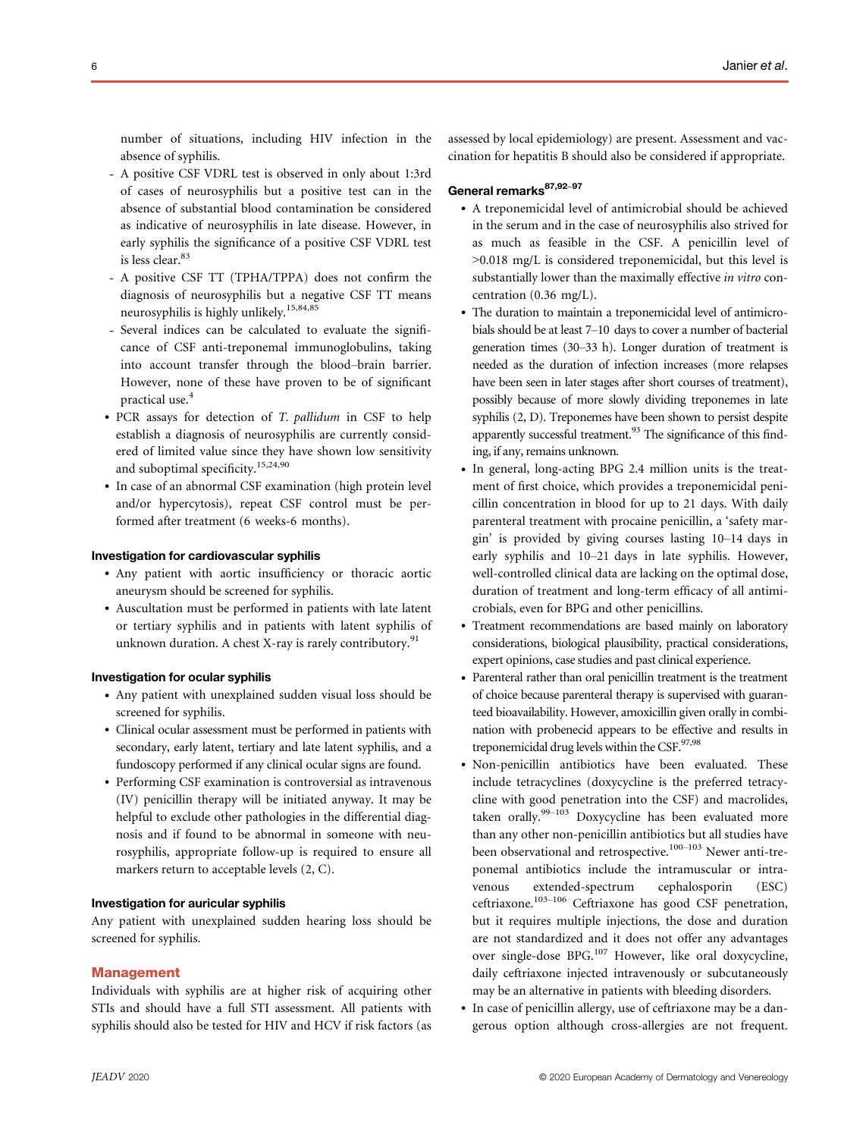number of situations, including HIV infection in the absence of syphilis.

- A positive CSF VDRL test is observed in only about 1:3rd of cases of neurosyphilis but a positive test can in the absence of substantial blood contamination be considered as indicative of neurosyphilis in late disease. However, in early syphilis the significance of a positive CSF VDRL test is less clear.<sup>83</sup>
- A positive CSF TT (TPHA/TPPA) does not confirm the diagnosis of neurosyphilis but a negative CSF TT means neurosyphilis is highly unlikely.<sup>15,84,85</sup>
- Several indices can be calculated to evaluate the significance of CSF anti-treponemal immunoglobulins, taking into account transfer through the blood–brain barrier. However, none of these have proven to be of significant practical use.<sup>4</sup>
- PCR assays for detection of T. pallidum in CSF to help establish a diagnosis of neurosyphilis are currently considered of limited value since they have shown low sensitivity and suboptimal specificity.15,24,90
- In case of an abnormal CSF examination (high protein level and/or hypercytosis), repeat CSF control must be performed after treatment (6 weeks-6 months).

#### Investigation for cardiovascular syphilis

- Any patient with aortic insufficiency or thoracic aortic aneurysm should be screened for syphilis.
- Auscultation must be performed in patients with late latent or tertiary syphilis and in patients with latent syphilis of unknown duration. A chest X-ray is rarely contributory.<sup>91</sup>

## Investigation for ocular syphilis

- Any patient with unexplained sudden visual loss should be screened for syphilis.
- Clinical ocular assessment must be performed in patients with secondary, early latent, tertiary and late latent syphilis, and a fundoscopy performed if any clinical ocular signs are found.
- Performing CSF examination is controversial as intravenous (IV) penicillin therapy will be initiated anyway. It may be helpful to exclude other pathologies in the differential diagnosis and if found to be abnormal in someone with neurosyphilis, appropriate follow-up is required to ensure all markers return to acceptable levels (2, C).

# Investigation for auricular syphilis

Any patient with unexplained sudden hearing loss should be screened for syphilis.

#### Management

Individuals with syphilis are at higher risk of acquiring other STIs and should have a full STI assessment. All patients with syphilis should also be tested for HIV and HCV if risk factors (as assessed by local epidemiology) are present. Assessment and vaccination for hepatitis B should also be considered if appropriate.

# General remarks<sup>87,92-97</sup>

- A treponemicidal level of antimicrobial should be achieved in the serum and in the case of neurosyphilis also strived for as much as feasible in the CSF. A penicillin level of >0.018 mg/L is considered treponemicidal, but this level is substantially lower than the maximally effective in vitro concentration (0.36 mg/L).
- The duration to maintain a treponemicidal level of antimicrobials should be at least 7–10 days to cover a number of bacterial generation times (30–33 h). Longer duration of treatment is needed as the duration of infection increases (more relapses have been seen in later stages after short courses of treatment), possibly because of more slowly dividing treponemes in late syphilis (2, D). Treponemes have been shown to persist despite apparently successful treatment.<sup>93</sup> The significance of this finding, if any, remains unknown.
- In general, long-acting BPG 2.4 million units is the treatment of first choice, which provides a treponemicidal penicillin concentration in blood for up to 21 days. With daily parenteral treatment with procaine penicillin, a 'safety margin' is provided by giving courses lasting 10–14 days in early syphilis and 10–21 days in late syphilis. However, well-controlled clinical data are lacking on the optimal dose, duration of treatment and long-term efficacy of all antimicrobials, even for BPG and other penicillins.
- Treatment recommendations are based mainly on laboratory considerations, biological plausibility, practical considerations, expert opinions, case studies and past clinical experience.
- Parenteral rather than oral penicillin treatment is the treatment of choice because parenteral therapy is supervised with guaranteed bioavailability. However, amoxicillin given orally in combination with probenecid appears to be effective and results in treponemicidal drug levels within the CSF.<sup>97,98</sup>
- Non-penicillin antibiotics have been evaluated. These include tetracyclines (doxycycline is the preferred tetracycline with good penetration into the CSF) and macrolides, taken orally.<sup>99-103</sup> Doxycycline has been evaluated more than any other non-penicillin antibiotics but all studies have been observational and retrospective.<sup>100–103</sup> Newer anti-treponemal antibiotics include the intramuscular or intravenous extended-spectrum cephalosporin (ESC) ceftriaxone.<sup>103-106</sup> Ceftriaxone has good CSF penetration, but it requires multiple injections, the dose and duration are not standardized and it does not offer any advantages over single-dose BPG.<sup>107</sup> However, like oral doxycycline, daily ceftriaxone injected intravenously or subcutaneously may be an alternative in patients with bleeding disorders.
- In case of penicillin allergy, use of ceftriaxone may be a dangerous option although cross-allergies are not frequent.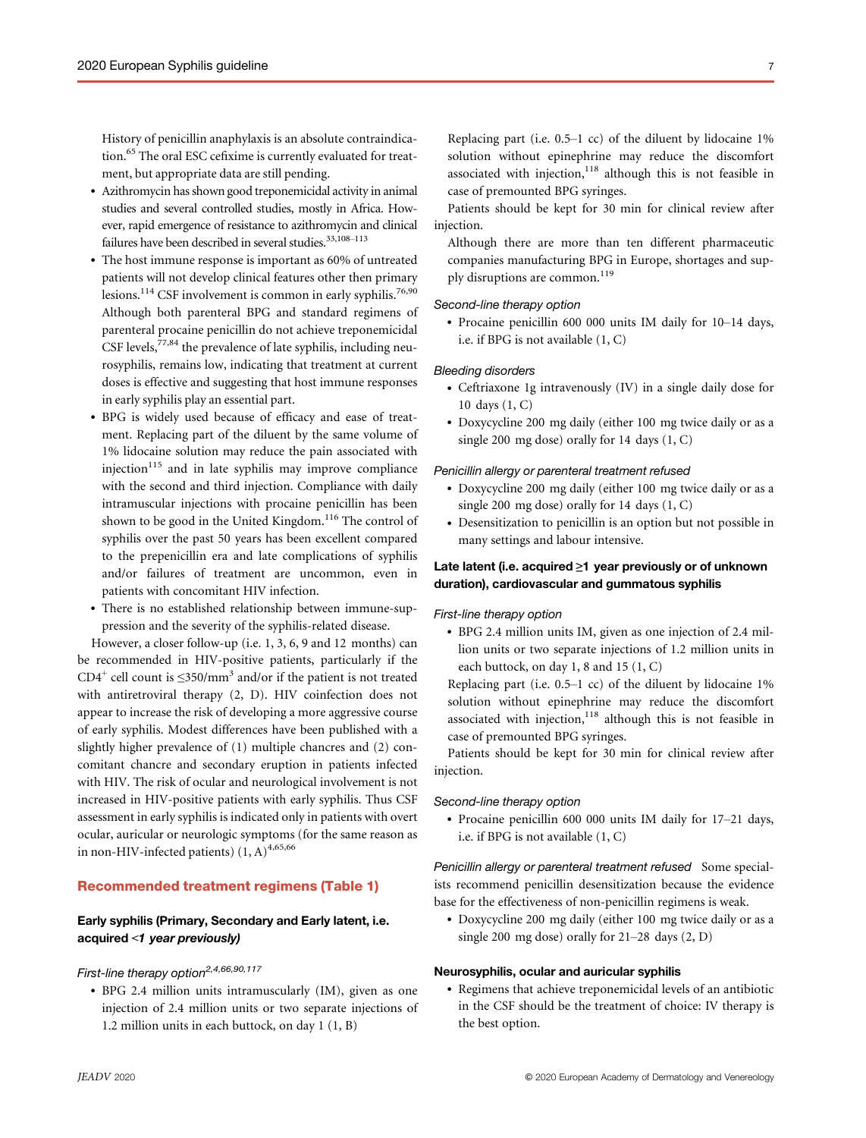History of penicillin anaphylaxis is an absolute contraindication.<sup>65</sup> The oral ESC cefixime is currently evaluated for treatment, but appropriate data are still pending.

- Azithromycin has shown good treponemicidal activity in animal studies and several controlled studies, mostly in Africa. However, rapid emergence of resistance to azithromycin and clinical failures have been described in several studies.<sup>33,108-113</sup>
- The host immune response is important as 60% of untreated patients will not develop clinical features other then primary lesions.<sup>114</sup> CSF involvement is common in early syphilis.<sup>76,90</sup> Although both parenteral BPG and standard regimens of parenteral procaine penicillin do not achieve treponemicidal CSF levels,  $77,84$  the prevalence of late syphilis, including neurosyphilis, remains low, indicating that treatment at current doses is effective and suggesting that host immune responses in early syphilis play an essential part.
- BPG is widely used because of efficacy and ease of treatment. Replacing part of the diluent by the same volume of 1% lidocaine solution may reduce the pain associated with injection $115$  and in late syphilis may improve compliance with the second and third injection. Compliance with daily intramuscular injections with procaine penicillin has been shown to be good in the United Kingdom.<sup>116</sup> The control of syphilis over the past 50 years has been excellent compared to the prepenicillin era and late complications of syphilis and/or failures of treatment are uncommon, even in patients with concomitant HIV infection.
- There is no established relationship between immune-suppression and the severity of the syphilis-related disease.

However, a closer follow-up (i.e. 1, 3, 6, 9 and 12 months) can be recommended in HIV-positive patients, particularly if the CD4<sup>+</sup> cell count is  $\leq$ 350/mm<sup>3</sup> and/or if the patient is not treated with antiretroviral therapy (2, D). HIV coinfection does not appear to increase the risk of developing a more aggressive course of early syphilis. Modest differences have been published with a slightly higher prevalence of (1) multiple chancres and (2) concomitant chancre and secondary eruption in patients infected with HIV. The risk of ocular and neurological involvement is not increased in HIV-positive patients with early syphilis. Thus CSF assessment in early syphilis is indicated only in patients with overt ocular, auricular or neurologic symptoms (for the same reason as in non-HIV-infected patients)  $(1, A)^{4,65,66}$ 

# Recommended treatment regimens (Table 1)

# Early syphilis (Primary, Secondary and Early latent, i.e. acquired <1 year previously)

# First-line therapy option<sup>2,4,66,90,117</sup>

• BPG 2.4 million units intramuscularly (IM), given as one injection of 2.4 million units or two separate injections of 1.2 million units in each buttock, on day 1 (1, B)

Replacing part (i.e. 0.5–1 cc) of the diluent by lidocaine 1% solution without epinephrine may reduce the discomfort associated with injection, $118$  although this is not feasible in case of premounted BPG syringes.

Patients should be kept for 30 min for clinical review after injection.

Although there are more than ten different pharmaceutic companies manufacturing BPG in Europe, shortages and supply disruptions are common.<sup>119</sup>

## Second-line therapy option

• Procaine penicillin 600 000 units IM daily for 10–14 days, i.e. if BPG is not available (1, C)

#### Bleeding disorders

- Ceftriaxone 1g intravenously (IV) in a single daily dose for 10 days (1, C)
- Doxycycline 200 mg daily (either 100 mg twice daily or as a single 200 mg dose) orally for 14 days  $(1, C)$

#### Penicillin allergy or parenteral treatment refused

- Doxycycline 200 mg daily (either 100 mg twice daily or as a single 200 mg dose) orally for 14 days (1, C)
- Desensitization to penicillin is an option but not possible in many settings and labour intensive.

# Late latent (i.e. acquired ≥1 year previously or of unknown duration), cardiovascular and gummatous syphilis

## First-line therapy option

• BPG 2.4 million units IM, given as one injection of 2.4 million units or two separate injections of 1.2 million units in each buttock, on day  $1, 8$  and  $15 (1, C)$ 

Replacing part (i.e. 0.5–1 cc) of the diluent by lidocaine 1% solution without epinephrine may reduce the discomfort associated with injection, $118$  although this is not feasible in case of premounted BPG syringes.

Patients should be kept for 30 min for clinical review after injection.

### Second-line therapy option

• Procaine penicillin 600 000 units IM daily for 17–21 days, i.e. if BPG is not available (1, C)

Penicillin allergy or parenteral treatment refused Some specialists recommend penicillin desensitization because the evidence base for the effectiveness of non-penicillin regimens is weak.

• Doxycycline 200 mg daily (either 100 mg twice daily or as a single 200 mg dose) orally for 21–28 days (2, D)

### Neurosyphilis, ocular and auricular syphilis

• Regimens that achieve treponemicidal levels of an antibiotic in the CSF should be the treatment of choice: IV therapy is the best option.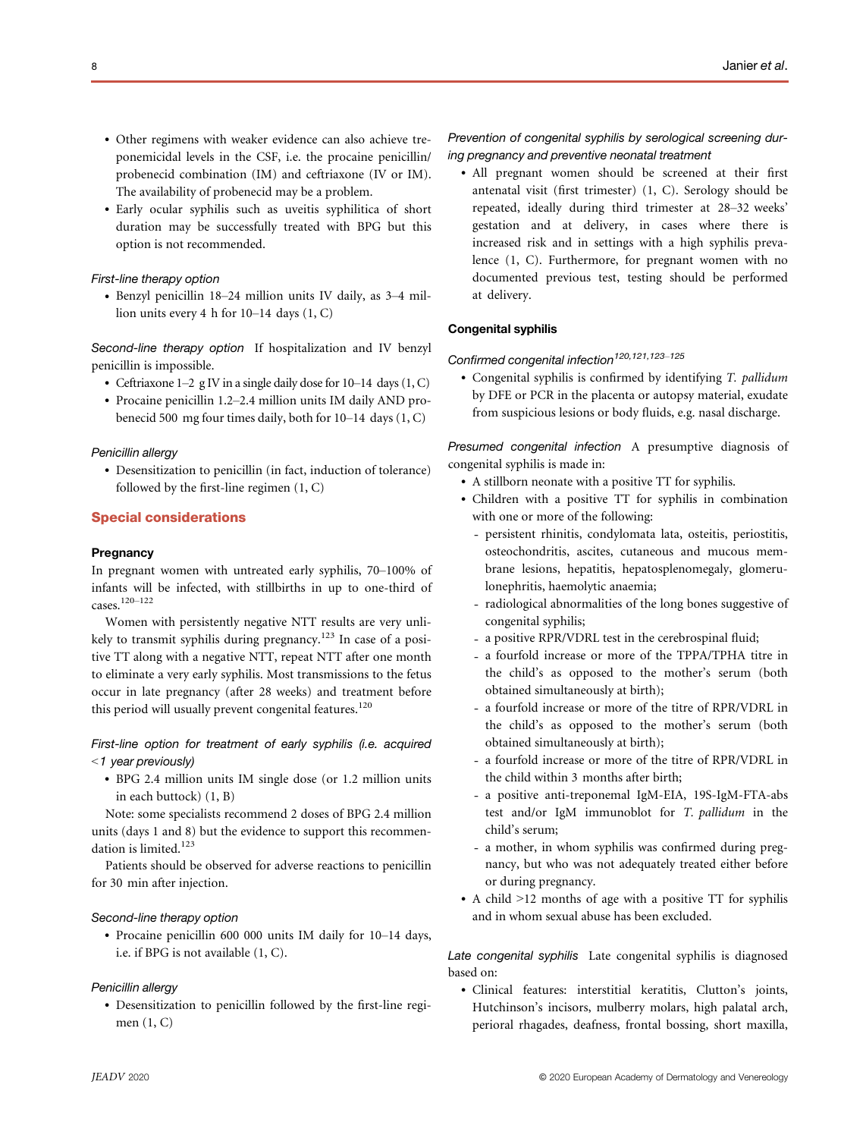- Other regimens with weaker evidence can also achieve treponemicidal levels in the CSF, i.e. the procaine penicillin/ probenecid combination (IM) and ceftriaxone (IV or IM). The availability of probenecid may be a problem.
- Early ocular syphilis such as uveitis syphilitica of short duration may be successfully treated with BPG but this option is not recommended.

# First-line therapy option

• Benzyl penicillin 18–24 million units IV daily, as 3–4 million units every 4 h for 10–14 days (1, C)

Second-line therapy option If hospitalization and IV benzyl penicillin is impossible.

- Ceftriaxone 1–2 g IV in a single daily dose for 10–14 days  $(1, C)$
- Procaine penicillin 1.2–2.4 million units IM daily AND probenecid 500 mg four times daily, both for 10–14 days (1, C)

## Penicillin allergy

• Desensitization to penicillin (in fact, induction of tolerance) followed by the first-line regimen (1, C)

## Special considerations

## **Pregnancy**

In pregnant women with untreated early syphilis, 70–100% of infants will be infected, with stillbirths in up to one-third of cases.120–<sup>122</sup>

Women with persistently negative NTT results are very unlikely to transmit syphilis during pregnancy.<sup>123</sup> In case of a positive TT along with a negative NTT, repeat NTT after one month to eliminate a very early syphilis. Most transmissions to the fetus occur in late pregnancy (after 28 weeks) and treatment before this period will usually prevent congenital features.<sup>120</sup>

# First-line option for treatment of early syphilis (i.e. acquired <1 year previously)

• BPG 2.4 million units IM single dose (or 1.2 million units in each buttock) (1, B)

Note: some specialists recommend 2 doses of BPG 2.4 million units (days 1 and 8) but the evidence to support this recommendation is limited.<sup>123</sup>

Patients should be observed for adverse reactions to penicillin for 30 min after injection.

## Second-line therapy option

• Procaine penicillin 600 000 units IM daily for 10–14 days, i.e. if BPG is not available (1, C).

## Penicillin allergy

• Desensitization to penicillin followed by the first-line regimen (1, C)

Prevention of congenital syphilis by serological screening during pregnancy and preventive neonatal treatment

• All pregnant women should be screened at their first antenatal visit (first trimester) (1, C). Serology should be repeated, ideally during third trimester at 28–32 weeks' gestation and at delivery, in cases where there is increased risk and in settings with a high syphilis prevalence (1, C). Furthermore, for pregnant women with no documented previous test, testing should be performed at delivery.

## Congenital syphilis

# Confirmed congenital infection<sup>120,121,123-125</sup>

• Congenital syphilis is confirmed by identifying T. pallidum by DFE or PCR in the placenta or autopsy material, exudate from suspicious lesions or body fluids, e.g. nasal discharge.

Presumed congenital infection A presumptive diagnosis of congenital syphilis is made in:

- A stillborn neonate with a positive TT for syphilis.
- Children with a positive TT for syphilis in combination with one or more of the following:
	- persistent rhinitis, condylomata lata, osteitis, periostitis, osteochondritis, ascites, cutaneous and mucous membrane lesions, hepatitis, hepatosplenomegaly, glomerulonephritis, haemolytic anaemia;
	- radiological abnormalities of the long bones suggestive of congenital syphilis;
	- a positive RPR/VDRL test in the cerebrospinal fluid;
	- a fourfold increase or more of the TPPA/TPHA titre in the child's as opposed to the mother's serum (both obtained simultaneously at birth);
	- a fourfold increase or more of the titre of RPR/VDRL in the child's as opposed to the mother's serum (both obtained simultaneously at birth);
	- a fourfold increase or more of the titre of RPR/VDRL in the child within 3 months after birth;
	- a positive anti-treponemal IgM-EIA, 19S-IgM-FTA-abs test and/or IgM immunoblot for T. pallidum in the child's serum;
	- a mother, in whom syphilis was confirmed during pregnancy, but who was not adequately treated either before or during pregnancy.
- A child >12 months of age with a positive TT for syphilis and in whom sexual abuse has been excluded.

Late congenital syphilis Late congenital syphilis is diagnosed based on:

• Clinical features: interstitial keratitis, Clutton's joints, Hutchinson's incisors, mulberry molars, high palatal arch, perioral rhagades, deafness, frontal bossing, short maxilla,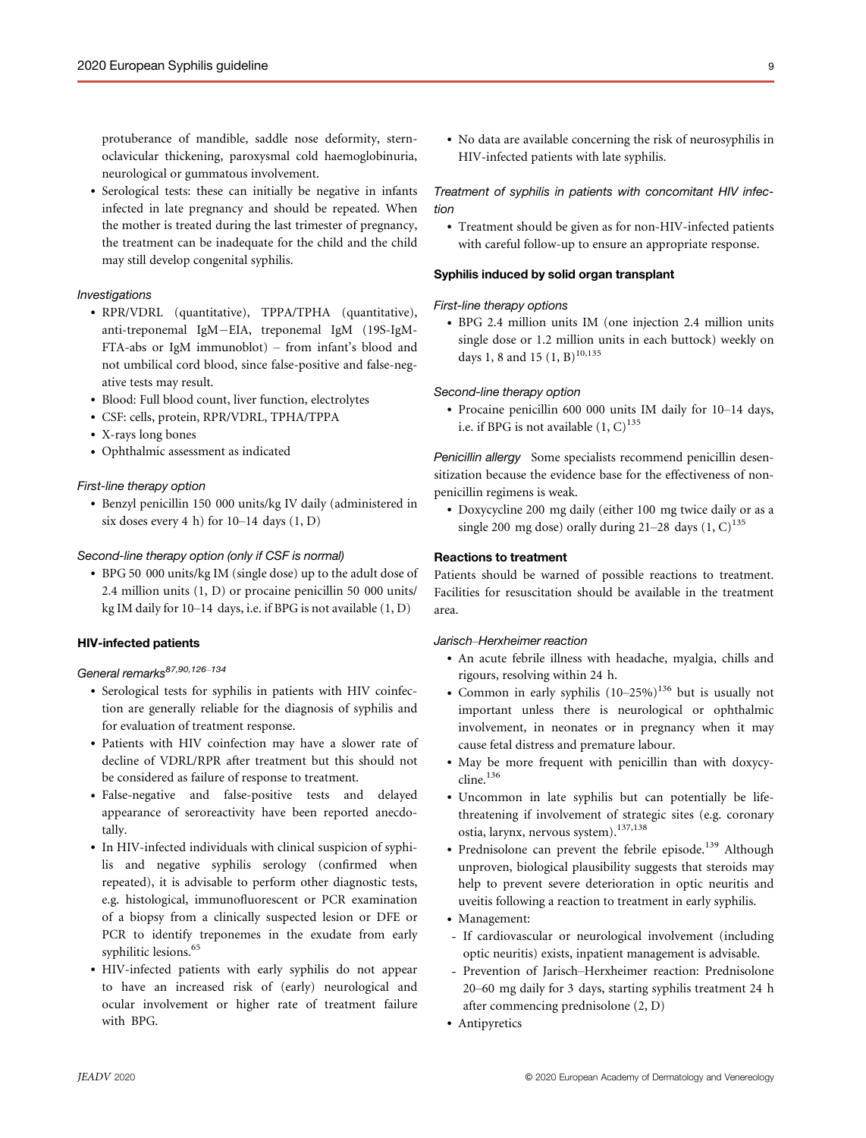protuberance of mandible, saddle nose deformity, sternoclavicular thickening, paroxysmal cold haemoglobinuria, neurological or gummatous involvement.

• Serological tests: these can initially be negative in infants infected in late pregnancy and should be repeated. When the mother is treated during the last trimester of pregnancy, the treatment can be inadequate for the child and the child may still develop congenital syphilis.

### Investigations

- RPR/VDRL (quantitative), TPPA/TPHA (quantitative), anti-treponemal IgM-EIA, treponemal IgM (19S-IgM-FTA-abs or IgM immunoblot) – from infant's blood and not umbilical cord blood, since false-positive and false-negative tests may result.
- Blood: Full blood count, liver function, electrolytes
- CSF: cells, protein, RPR/VDRL, TPHA/TPPA
- X-rays long bones
- Ophthalmic assessment as indicated

### First-line therapy option

• Benzyl penicillin 150 000 units/kg IV daily (administered in six doses every 4 h) for  $10-14$  days  $(1, D)$ 

#### Second-line therapy option (only if CSF is normal)

• BPG 50 000 units/kg IM (single dose) up to the adult dose of 2.4 million units (1, D) or procaine penicillin 50 000 units/ kg IM daily for 10–14 days, i.e. if BPG is not available (1, D)

#### HIV-infected patients

# General remarks<sup>87,90,126-134</sup>

- Serological tests for syphilis in patients with HIV coinfection are generally reliable for the diagnosis of syphilis and for evaluation of treatment response.
- Patients with HIV coinfection may have a slower rate of decline of VDRL/RPR after treatment but this should not be considered as failure of response to treatment.
- False-negative and false-positive tests and delayed appearance of seroreactivity have been reported anecdotally.
- In HIV-infected individuals with clinical suspicion of syphilis and negative syphilis serology (confirmed when repeated), it is advisable to perform other diagnostic tests, e.g. histological, immunofluorescent or PCR examination of a biopsy from a clinically suspected lesion or DFE or PCR to identify treponemes in the exudate from early syphilitic lesions.<sup>65</sup>
- HIV-infected patients with early syphilis do not appear to have an increased risk of (early) neurological and ocular involvement or higher rate of treatment failure with BPG.

• No data are available concerning the risk of neurosyphilis in HIV-infected patients with late syphilis.

# Treatment of syphilis in patients with concomitant HIV infection

• Treatment should be given as for non-HIV-infected patients with careful follow-up to ensure an appropriate response.

### Syphilis induced by solid organ transplant

### First-line therapy options

• BPG 2.4 million units IM (one injection 2.4 million units single dose or 1.2 million units in each buttock) weekly on days 1, 8 and 15  $(1, B)^{10,135}$ 

## Second-line therapy option

• Procaine penicillin 600 000 units IM daily for 10–14 days, i.e. if BPG is not available  $(1, C)^{135}$ 

Penicillin allergy Some specialists recommend penicillin desensitization because the evidence base for the effectiveness of nonpenicillin regimens is weak.

• Doxycycline 200 mg daily (either 100 mg twice daily or as a single 200 mg dose) orally during 21–28 days  $(1, C)^{135}$ 

# Reactions to treatment

Patients should be warned of possible reactions to treatment. Facilities for resuscitation should be available in the treatment area.

## Jarisch–Herxheimer reaction

- An acute febrile illness with headache, myalgia, chills and rigours, resolving within 24 h.
- Common in early syphilis  $(10-25%)^{136}$  but is usually not important unless there is neurological or ophthalmic involvement, in neonates or in pregnancy when it may cause fetal distress and premature labour.
- May be more frequent with penicillin than with doxycy- $\text{cline}^{136}$
- Uncommon in late syphilis but can potentially be lifethreatening if involvement of strategic sites (e.g. coronary ostia, larynx, nervous system).<sup>137,138</sup>
- Prednisolone can prevent the febrile episode.<sup>139</sup> Although unproven, biological plausibility suggests that steroids may help to prevent severe deterioration in optic neuritis and uveitis following a reaction to treatment in early syphilis.
- Management:
- If cardiovascular or neurological involvement (including optic neuritis) exists, inpatient management is advisable.
- Prevention of Jarisch–Herxheimer reaction: Prednisolone 20–60 mg daily for 3 days, starting syphilis treatment 24 h after commencing prednisolone (2, D)
- Antipyretics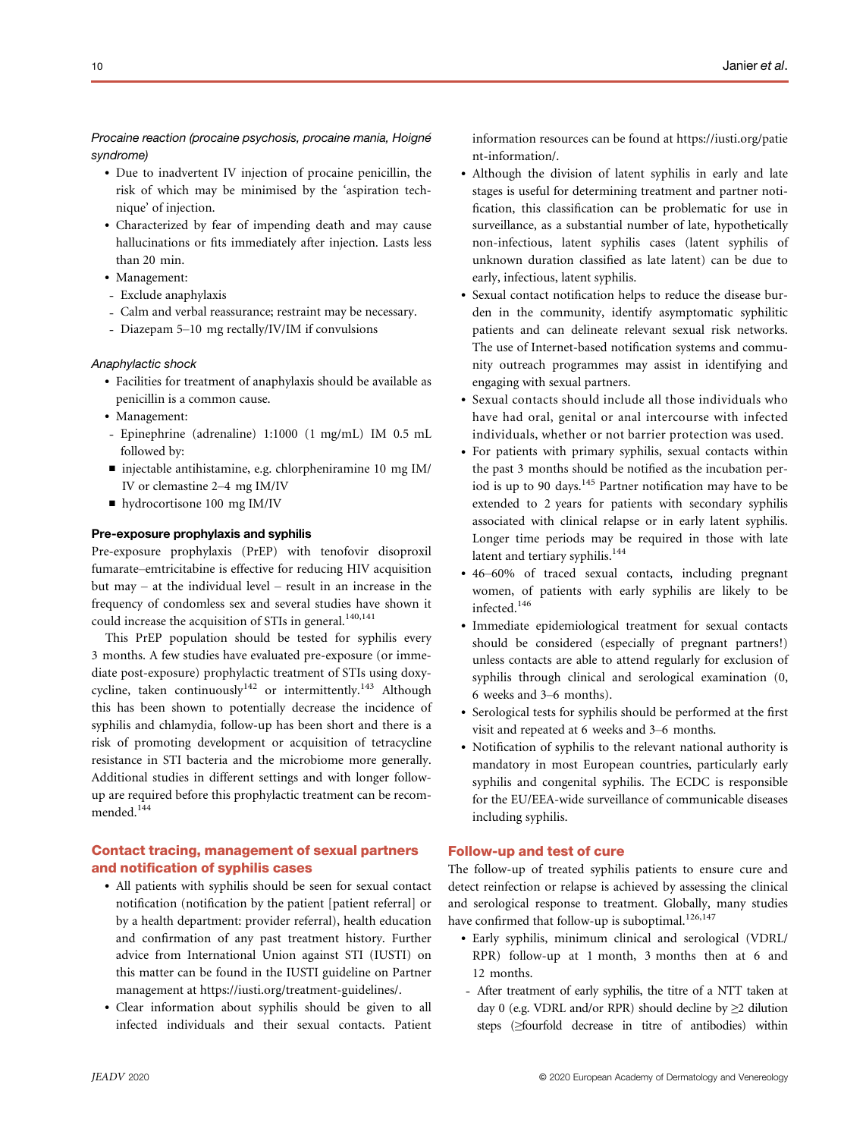Procaine reaction (procaine psychosis, procaine mania, Hoigné syndrome)

- Due to inadvertent IV injection of procaine penicillin, the risk of which may be minimised by the 'aspiration technique' of injection.
- Characterized by fear of impending death and may cause hallucinations or fits immediately after injection. Lasts less than 20 min.
- Management:
- Exclude anaphylaxis
- Calm and verbal reassurance; restraint may be necessary.
- Diazepam 5–10 mg rectally/IV/IM if convulsions

# Anaphylactic shock

- Facilities for treatment of anaphylaxis should be available as penicillin is a common cause.
- Management:
- Epinephrine (adrenaline) 1:1000 (1 mg/mL) IM 0.5 mL followed by:
- $\blacksquare$  injectable antihistamine, e.g. chlorpheniramine 10 mg IM/ IV or clemastine 2–4 mg IM/IV
- hydrocortisone 100 mg IM/IV

## Pre-exposure prophylaxis and syphilis

Pre-exposure prophylaxis (PrEP) with tenofovir disoproxil fumarate–emtricitabine is effective for reducing HIV acquisition but may – at the individual level – result in an increase in the frequency of condomless sex and several studies have shown it could increase the acquisition of STIs in general.<sup>140,141</sup>

This PrEP population should be tested for syphilis every 3 months. A few studies have evaluated pre-exposure (or immediate post-exposure) prophylactic treatment of STIs using doxycycline, taken continuously<sup>142</sup> or intermittently.<sup>143</sup> Although this has been shown to potentially decrease the incidence of syphilis and chlamydia, follow-up has been short and there is a risk of promoting development or acquisition of tetracycline resistance in STI bacteria and the microbiome more generally. Additional studies in different settings and with longer followup are required before this prophylactic treatment can be recommended.<sup>144</sup>

# Contact tracing, management of sexual partners and notification of syphilis cases

- All patients with syphilis should be seen for sexual contact notification (notification by the patient [patient referral] or by a health department: provider referral), health education and confirmation of any past treatment history. Further advice from International Union against STI (IUSTI) on this matter can be found in the IUSTI guideline on Partner management at<https://iusti.org/treatment-guidelines/>.
- Clear information about syphilis should be given to all infected individuals and their sexual contacts. Patient

information resources can be found at [https://iusti.org/patie](https://iusti.org/patient-information/) [nt-information/.](https://iusti.org/patient-information/)

- Although the division of latent syphilis in early and late stages is useful for determining treatment and partner notification, this classification can be problematic for use in surveillance, as a substantial number of late, hypothetically non-infectious, latent syphilis cases (latent syphilis of unknown duration classified as late latent) can be due to early, infectious, latent syphilis.
- Sexual contact notification helps to reduce the disease burden in the community, identify asymptomatic syphilitic patients and can delineate relevant sexual risk networks. The use of Internet-based notification systems and community outreach programmes may assist in identifying and engaging with sexual partners.
- Sexual contacts should include all those individuals who have had oral, genital or anal intercourse with infected individuals, whether or not barrier protection was used.
- For patients with primary syphilis, sexual contacts within the past 3 months should be notified as the incubation period is up to 90 days. $145$  Partner notification may have to be extended to 2 years for patients with secondary syphilis associated with clinical relapse or in early latent syphilis. Longer time periods may be required in those with late latent and tertiary syphilis. $144$
- 46–60% of traced sexual contacts, including pregnant women, of patients with early syphilis are likely to be infected.<sup>146</sup>
- Immediate epidemiological treatment for sexual contacts should be considered (especially of pregnant partners!) unless contacts are able to attend regularly for exclusion of syphilis through clinical and serological examination (0, 6 weeks and 3–6 months).
- Serological tests for syphilis should be performed at the first visit and repeated at 6 weeks and 3–6 months.
- Notification of syphilis to the relevant national authority is mandatory in most European countries, particularly early syphilis and congenital syphilis. The ECDC is responsible for the EU/EEA-wide surveillance of communicable diseases including syphilis.

# Follow-up and test of cure

The follow-up of treated syphilis patients to ensure cure and detect reinfection or relapse is achieved by assessing the clinical and serological response to treatment. Globally, many studies have confirmed that follow-up is suboptimal.<sup>126,147</sup>

- Early syphilis, minimum clinical and serological (VDRL/ RPR) follow-up at 1 month, 3 months then at 6 and 12 months.
- After treatment of early syphilis, the titre of a NTT taken at day 0 (e.g. VDRL and/or RPR) should decline by  $\geq 2$  dilution steps (≥fourfold decrease in titre of antibodies) within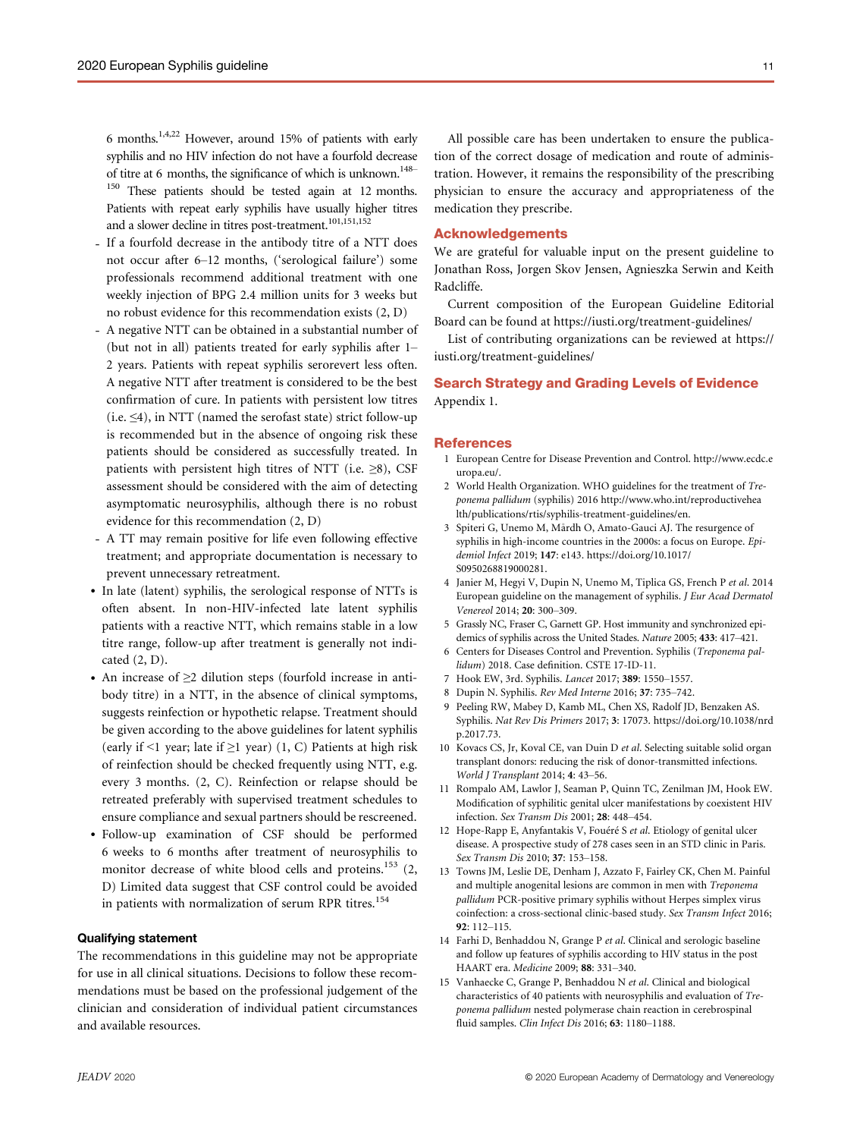6 months.1,4,22 However, around 15% of patients with early syphilis and no HIV infection do not have a fourfold decrease of titre at 6 months, the significance of which is unknown.<sup>148–</sup> <sup>150</sup> These patients should be tested again at 12 months. Patients with repeat early syphilis have usually higher titres and a slower decline in titres post-treatment.<sup>101,151,152</sup>

- If a fourfold decrease in the antibody titre of a NTT does not occur after 6–12 months, ('serological failure') some professionals recommend additional treatment with one weekly injection of BPG 2.4 million units for 3 weeks but no robust evidence for this recommendation exists (2, D)
- A negative NTT can be obtained in a substantial number of (but not in all) patients treated for early syphilis after 1– 2 years. Patients with repeat syphilis serorevert less often. A negative NTT after treatment is considered to be the best confirmation of cure. In patients with persistent low titres (i.e. ≤4), in NTT (named the serofast state) strict follow-up is recommended but in the absence of ongoing risk these patients should be considered as successfully treated. In patients with persistent high titres of NTT (i.e.  $\geq 8$ ), CSF assessment should be considered with the aim of detecting asymptomatic neurosyphilis, although there is no robust evidence for this recommendation (2, D)
- A TT may remain positive for life even following effective treatment; and appropriate documentation is necessary to prevent unnecessary retreatment.
- In late (latent) syphilis, the serological response of NTTs is often absent. In non-HIV-infected late latent syphilis patients with a reactive NTT, which remains stable in a low titre range, follow-up after treatment is generally not indicated (2, D).
- An increase of ≥2 dilution steps (fourfold increase in antibody titre) in a NTT, in the absence of clinical symptoms, suggests reinfection or hypothetic relapse. Treatment should be given according to the above guidelines for latent syphilis (early if <1 year; late if  $\geq$ 1 year) (1, C) Patients at high risk of reinfection should be checked frequently using NTT, e.g. every 3 months. (2, C). Reinfection or relapse should be retreated preferably with supervised treatment schedules to ensure compliance and sexual partners should be rescreened.
- Follow-up examination of CSF should be performed 6 weeks to 6 months after treatment of neurosyphilis to monitor decrease of white blood cells and proteins.<sup>153</sup>  $(2, 1)$ D) Limited data suggest that CSF control could be avoided in patients with normalization of serum RPR titres.<sup>154</sup>

## Qualifying statement

The recommendations in this guideline may not be appropriate for use in all clinical situations. Decisions to follow these recommendations must be based on the professional judgement of the clinician and consideration of individual patient circumstances and available resources.

All possible care has been undertaken to ensure the publication of the correct dosage of medication and route of administration. However, it remains the responsibility of the prescribing physician to ensure the accuracy and appropriateness of the medication they prescribe.

#### Acknowledgements

We are grateful for valuable input on the present guideline to Jonathan Ross, Jorgen Skov Jensen, Agnieszka Serwin and Keith Radcliffe.

Current composition of the European Guideline Editorial Board can be found at<https://iusti.org/treatment-guidelines/>

List of contributing organizations can be reviewed at [https://](https://iusti.org/treatment-guidelines/) [iusti.org/treatment-guidelines/](https://iusti.org/treatment-guidelines/)

# Search Strategy and Grading Levels of Evidence Appendix 1.

#### **References**

- 1 European Centre for Disease Prevention and Control. [http://www.ecdc.e](http://www.ecdc.europa.eu/) [uropa.eu/.](http://www.ecdc.europa.eu/)
- 2 World Health Organization. WHO guidelines for the treatment of Treponema pallidum (syphilis) 2016 [http://www.who.int/reproductivehea](http://www.who.int/reproductivehealth/publications/rtis/syphilis-treatment-guidelines/en) [lth/publications/rtis/syphilis-treatment-guidelines/en](http://www.who.int/reproductivehealth/publications/rtis/syphilis-treatment-guidelines/en).
- 3 Spiteri G, Unemo M, Mardh O, Amato-Gauci AJ. The resurgence of syphilis in high-income countries in the 2000s: a focus on Europe. Epidemiol Infect 2019; 147: e143. [https://doi.org/10.1017/](https://doi.org/10.1017/S0950268819000281) [S0950268819000281.](https://doi.org/10.1017/S0950268819000281)
- 4 Janier M, Hegyi V, Dupin N, Unemo M, Tiplica GS, French P et al. 2014 European guideline on the management of syphilis. J Eur Acad Dermatol Venereol 2014; 20: 300–309.
- 5 Grassly NC, Fraser C, Garnett GP. Host immunity and synchronized epidemics of syphilis across the United Stades. Nature 2005; 433: 417–421.
- 6 Centers for Diseases Control and Prevention. Syphilis (Treponema pallidum) 2018. Case definition. CSTE 17-ID-11.
- 7 Hook EW, 3rd. Syphilis. Lancet 2017; 389: 1550–1557.
- 8 Dupin N. Syphilis. Rev Med Interne 2016; 37: 735–742.
- 9 Peeling RW, Mabey D, Kamb ML, Chen XS, Radolf JD, Benzaken AS. Syphilis. Nat Rev Dis Primers 2017; 3: 17073. [https://doi.org/10.1038/nrd](https://doi.org/10.1038/nrdp.2017.73) [p.2017.73.](https://doi.org/10.1038/nrdp.2017.73)
- 10 Kovacs CS, Jr, Koval CE, van Duin D et al. Selecting suitable solid organ transplant donors: reducing the risk of donor-transmitted infections. World J Transplant 2014; 4: 43–56.
- 11 Rompalo AM, Lawlor J, Seaman P, Quinn TC, Zenilman JM, Hook EW. Modification of syphilitic genital ulcer manifestations by coexistent HIV infection. Sex Transm Dis 2001; 28: 448–454.
- 12 Hope-Rapp E, Anyfantakis V, Fouéré S et al. Etiology of genital ulcer disease. A prospective study of 278 cases seen in an STD clinic in Paris. Sex Transm Dis 2010; 37: 153–158.
- 13 Towns JM, Leslie DE, Denham J, Azzato F, Fairley CK, Chen M. Painful and multiple anogenital lesions are common in men with Treponema pallidum PCR-positive primary syphilis without Herpes simplex virus coinfection: a cross-sectional clinic-based study. Sex Transm Infect 2016; 92: 112–115.
- 14 Farhi D, Benhaddou N, Grange P et al. Clinical and serologic baseline and follow up features of syphilis according to HIV status in the post HAART era. Medicine 2009; 88: 331–340.
- 15 Vanhaecke C, Grange P, Benhaddou N et al. Clinical and biological characteristics of 40 patients with neurosyphilis and evaluation of Treponema pallidum nested polymerase chain reaction in cerebrospinal fluid samples. Clin Infect Dis 2016; 63: 1180–1188.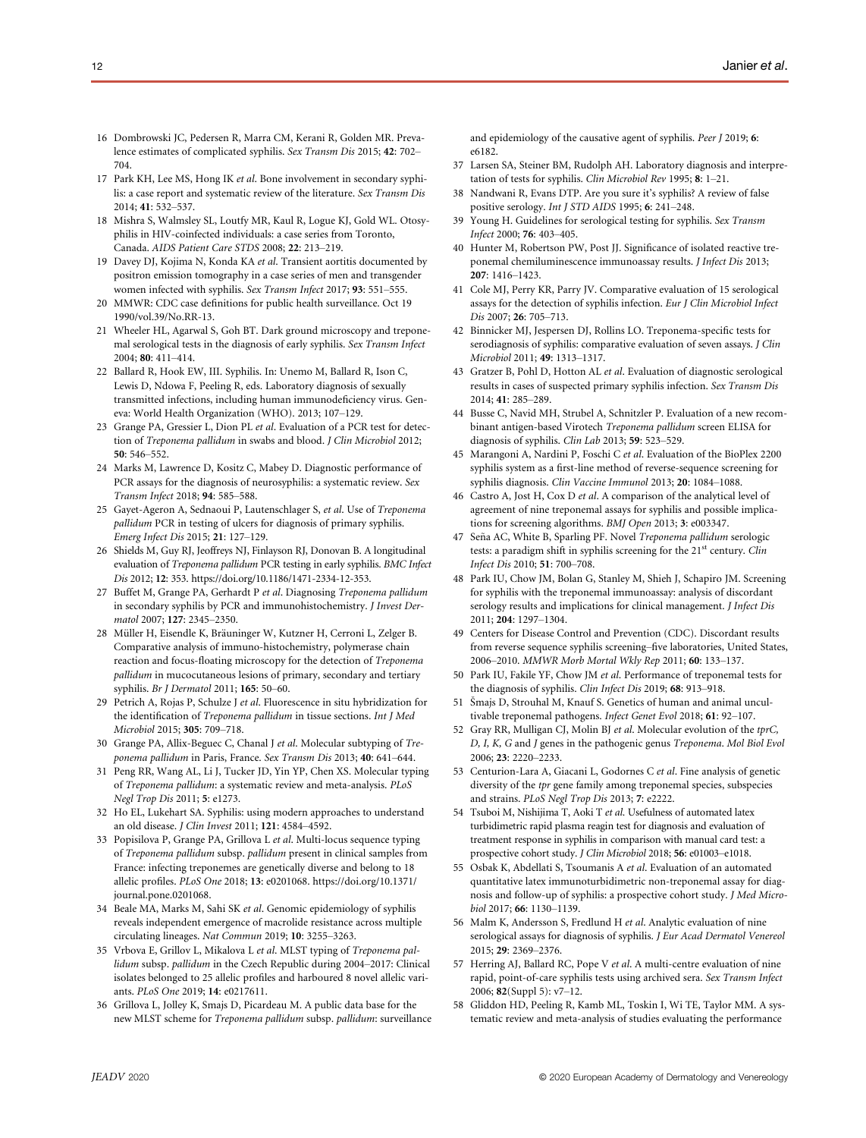- 16 Dombrowski JC, Pedersen R, Marra CM, Kerani R, Golden MR. Prevalence estimates of complicated syphilis. Sex Transm Dis 2015; 42: 702– 704.
- 17 Park KH, Lee MS, Hong IK et al. Bone involvement in secondary syphilis: a case report and systematic review of the literature. Sex Transm Dis 2014; 41: 532–537.
- 18 Mishra S, Walmsley SL, Loutfy MR, Kaul R, Logue KJ, Gold WL. Otosyphilis in HIV-coinfected individuals: a case series from Toronto, Canada. AIDS Patient Care STDS 2008; 22: 213–219.
- 19 Davey DJ, Kojima N, Konda KA et al. Transient aortitis documented by positron emission tomography in a case series of men and transgender women infected with syphilis. Sex Transm Infect 2017; 93: 551–555.
- 20 MMWR: CDC case definitions for public health surveillance. Oct 19 1990/vol.39/No.RR-13.
- 21 Wheeler HL, Agarwal S, Goh BT. Dark ground microscopy and treponemal serological tests in the diagnosis of early syphilis. Sex Transm Infect 2004; 80: 411–414.
- 22 Ballard R, Hook EW, III. Syphilis. In: Unemo M, Ballard R, Ison C, Lewis D, Ndowa F, Peeling R, eds. Laboratory diagnosis of sexually transmitted infections, including human immunodeficiency virus. Geneva: World Health Organization (WHO). 2013; 107–129.
- 23 Grange PA, Gressier L, Dion PL et al. Evaluation of a PCR test for detection of Treponema pallidum in swabs and blood. J Clin Microbiol 2012; 50: 546–552.
- 24 Marks M, Lawrence D, Kositz C, Mabey D. Diagnostic performance of PCR assays for the diagnosis of neurosyphilis: a systematic review. Sex Transm Infect 2018; 94: 585–588.
- 25 Gayet-Ageron A, Sednaoui P, Lautenschlager S, et al. Use of Treponema pallidum PCR in testing of ulcers for diagnosis of primary syphilis. Emerg Infect Dis 2015; 21: 127–129.
- 26 Shields M, Guy RJ, Jeoffreys NJ, Finlayson RJ, Donovan B. A longitudinal evaluation of Treponema pallidum PCR testing in early syphilis. BMC Infect Dis 2012; 12: 353. [https://doi.org/10.1186/1471-2334-12-353.](https://doi.org/10.1186/1471-2334-12-353)
- 27 Buffet M, Grange PA, Gerhardt P et al. Diagnosing Treponema pallidum in secondary syphilis by PCR and immunohistochemistry. J Invest Dermatol 2007; 127: 2345–2350.
- 28 Müller H, Eisendle K, Bräuninger W, Kutzner H, Cerroni L, Zelger B. Comparative analysis of immuno-histochemistry, polymerase chain reaction and focus-floating microscopy for the detection of Treponema pallidum in mucocutaneous lesions of primary, secondary and tertiary syphilis. Br J Dermatol 2011; 165: 50–60.
- 29 Petrich A, Rojas P, Schulze J et al. Fluorescence in situ hybridization for the identification of Treponema pallidum in tissue sections. Int J Med Microbiol 2015; 305: 709–718.
- 30 Grange PA, Allix-Beguec C, Chanal J et al. Molecular subtyping of Treponema pallidum in Paris, France. Sex Transm Dis 2013; 40: 641–644.
- 31 Peng RR, Wang AL, Li J, Tucker JD, Yin YP, Chen XS. Molecular typing of Treponema pallidum: a systematic review and meta-analysis. PLoS Negl Trop Dis 2011; 5: e1273.
- 32 Ho EL, Lukehart SA. Syphilis: using modern approaches to understand an old disease. J Clin Invest 2011; 121: 4584–4592.
- 33 Popisilova P, Grange PA, Grillova L et al. Multi-locus sequence typing of Treponema pallidum subsp. pallidum present in clinical samples from France: infecting treponemes are genetically diverse and belong to 18 allelic profiles. PLoS One 2018; 13: e0201068. [https://doi.org/10.1371/](https://doi.org/10.1371/journal.pone.0201068) [journal.pone.0201068.](https://doi.org/10.1371/journal.pone.0201068)
- 34 Beale MA, Marks M, Sahi SK et al. Genomic epidemiology of syphilis reveals independent emergence of macrolide resistance across multiple circulating lineages. Nat Commun 2019; 10: 3255–3263.
- 35 Vrbova E, Grillov L, Mikalova L et al. MLST typing of Treponema pallidum subsp. pallidum in the Czech Republic during 2004-2017: Clinical isolates belonged to 25 allelic profiles and harboured 8 novel allelic variants. PLoS One 2019; 14: e0217611.
- 36 Grillova L, Jolley K, Smajs D, Picardeau M. A public data base for the new MLST scheme for Treponema pallidum subsp. pallidum: surveillance

and epidemiology of the causative agent of syphilis. Peer J 2019; 6: e6182.

- 37 Larsen SA, Steiner BM, Rudolph AH. Laboratory diagnosis and interpretation of tests for syphilis. Clin Microbiol Rev 1995; 8: 1–21.
- 38 Nandwani R, Evans DTP. Are you sure it's syphilis? A review of false positive serology. Int J STD AIDS 1995; 6: 241–248.
- 39 Young H. Guidelines for serological testing for syphilis. Sex Transm Infect 2000; 76: 403–405.
- Hunter M, Robertson PW, Post JJ. Significance of isolated reactive treponemal chemiluminescence immunoassay results. J Infect Dis 2013; 207: 1416–1423.
- 41 Cole MJ, Perry KR, Parry JV. Comparative evaluation of 15 serological assays for the detection of syphilis infection. Eur J Clin Microbiol Infect Dis 2007; 26: 705–713.
- 42 Binnicker MJ, Jespersen DJ, Rollins LO. Treponema-specific tests for serodiagnosis of syphilis: comparative evaluation of seven assays. J Clin Microbiol 2011; 49: 1313–1317.
- Gratzer B, Pohl D, Hotton AL et al. Evaluation of diagnostic serological results in cases of suspected primary syphilis infection. Sex Transm Dis 2014; 41: 285–289.
- 44 Busse C, Navid MH, Strubel A, Schnitzler P. Evaluation of a new recombinant antigen-based Virotech Treponema pallidum screen ELISA for diagnosis of syphilis. Clin Lab 2013; 59: 523–529.
- 45 Marangoni A, Nardini P, Foschi C et al. Evaluation of the BioPlex 2200 syphilis system as a first-line method of reverse-sequence screening for syphilis diagnosis. Clin Vaccine Immunol 2013; 20: 1084–1088.
- Castro A, Jost H, Cox D et al. A comparison of the analytical level of agreement of nine treponemal assays for syphilis and possible implications for screening algorithms. BMJ Open 2013; 3: e003347.
- Seña AC, White B, Sparling PF. Novel Treponema pallidum serologic tests: a paradigm shift in syphilis screening for the  $21<sup>st</sup>$  century. Clin Infect Dis 2010; 51: 700–708.
- 48 Park IU, Chow JM, Bolan G, Stanley M, Shieh J, Schapiro JM. Screening for syphilis with the treponemal immunoassay: analysis of discordant serology results and implications for clinical management. J Infect Dis 2011; 204: 1297–1304.
- 49 Centers for Disease Control and Prevention (CDC). Discordant results from reverse sequence syphilis screening–five laboratories, United States, 2006–2010. MMWR Morb Mortal Wkly Rep 2011; 60: 133–137.
- Park IU, Fakile YF, Chow JM et al. Performance of treponemal tests for the diagnosis of syphilis. Clin Infect Dis 2019; 68: 913–918.
- Šmajs D, Strouhal M, Knauf S. Genetics of human and animal uncultivable treponemal pathogens. Infect Genet Evol 2018; 61: 92–107.
- 52 Gray RR, Mulligan CJ, Molin BJ et al. Molecular evolution of the tprC, D, I, K, G and J genes in the pathogenic genus Treponema. Mol Biol Evol 2006; 23: 2220–2233.
- 53 Centurion-Lara A, Giacani L, Godornes C et al. Fine analysis of genetic diversity of the tpr gene family among treponemal species, subspecies and strains. PLoS Negl Trop Dis 2013; 7: e2222.
- 54 Tsuboi M, Nishijima T, Aoki T et al. Usefulness of automated latex turbidimetric rapid plasma reagin test for diagnosis and evaluation of treatment response in syphilis in comparison with manual card test: a prospective cohort study. J Clin Microbiol 2018; 56: e01003–e1018.
- 55 Osbak K, Abdellati S, Tsoumanis A et al. Evaluation of an automated quantitative latex immunoturbidimetric non-treponemal assay for diagnosis and follow-up of syphilis: a prospective cohort study. J Med Microbiol 2017; 66: 1130–1139.
- 56 Malm K, Andersson S, Fredlund H et al. Analytic evaluation of nine serological assays for diagnosis of syphilis. J Eur Acad Dermatol Venereol 2015; 29: 2369–2376.
- 57 Herring AJ, Ballard RC, Pope V et al. A multi-centre evaluation of nine rapid, point-of-care syphilis tests using archived sera. Sex Transm Infect 2006; 82(Suppl 5): v7–12.
- 58 Gliddon HD, Peeling R, Kamb ML, Toskin I, Wi TE, Taylor MM. A systematic review and meta-analysis of studies evaluating the performance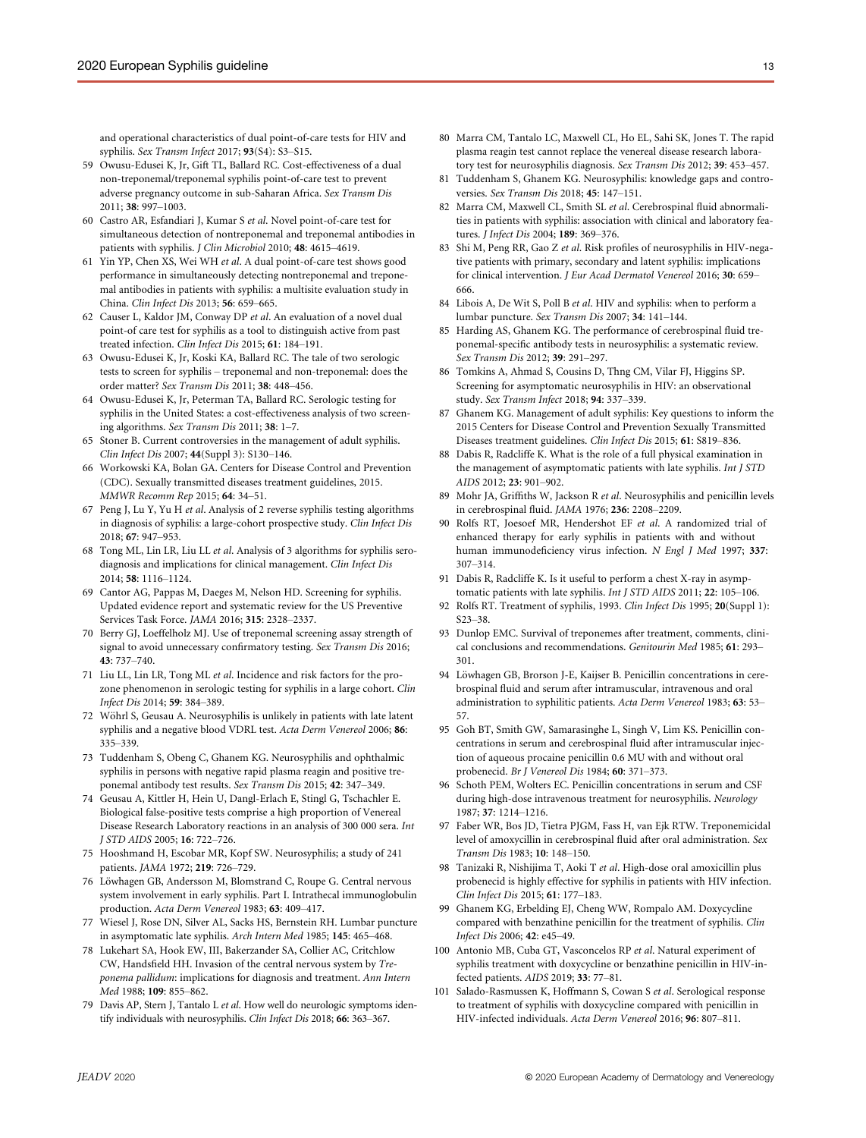and operational characteristics of dual point-of-care tests for HIV and syphilis. Sex Transm Infect 2017; 93(S4): S3–S15.

- 59 Owusu-Edusei K, Jr, Gift TL, Ballard RC. Cost-effectiveness of a dual non-treponemal/treponemal syphilis point-of-care test to prevent adverse pregnancy outcome in sub-Saharan Africa. Sex Transm Dis 2011; 38: 997–1003.
- 60 Castro AR, Esfandiari J, Kumar S et al. Novel point-of-care test for simultaneous detection of nontreponemal and treponemal antibodies in patients with syphilis. J Clin Microbiol 2010; 48: 4615-4619.
- 61 Yin YP, Chen XS, Wei WH et al. A dual point-of-care test shows good performance in simultaneously detecting nontreponemal and treponemal antibodies in patients with syphilis: a multisite evaluation study in China. Clin Infect Dis 2013; 56: 659–665.
- 62 Causer L, Kaldor JM, Conway DP et al. An evaluation of a novel dual point-of care test for syphilis as a tool to distinguish active from past treated infection. Clin Infect Dis 2015; 61: 184–191.
- 63 Owusu-Edusei K, Jr, Koski KA, Ballard RC. The tale of two serologic tests to screen for syphilis – treponemal and non-treponemal: does the order matter? Sex Transm Dis 2011; 38: 448–456.
- 64 Owusu-Edusei K, Jr, Peterman TA, Ballard RC. Serologic testing for syphilis in the United States: a cost-effectiveness analysis of two screening algorithms. Sex Transm Dis 2011; 38: 1–7.
- 65 Stoner B. Current controversies in the management of adult syphilis. Clin Infect Dis 2007; 44(Suppl 3): S130–146.
- 66 Workowski KA, Bolan GA. Centers for Disease Control and Prevention (CDC). Sexually transmitted diseases treatment guidelines, 2015. MMWR Recomm Rep 2015; 64: 34–51.
- 67 Peng J, Lu Y, Yu H et al. Analysis of 2 reverse syphilis testing algorithms in diagnosis of syphilis: a large-cohort prospective study. Clin Infect Dis 2018; 67: 947–953.
- 68 Tong ML, Lin LR, Liu LL et al. Analysis of 3 algorithms for syphilis serodiagnosis and implications for clinical management. Clin Infect Dis 2014; 58: 1116–1124.
- 69 Cantor AG, Pappas M, Daeges M, Nelson HD. Screening for syphilis. Updated evidence report and systematic review for the US Preventive Services Task Force. JAMA 2016; 315: 2328–2337.
- 70 Berry GJ, Loeffelholz MJ. Use of treponemal screening assay strength of signal to avoid unnecessary confirmatory testing. Sex Transm Dis 2016; 43: 737–740.
- 71 Liu LL, Lin LR, Tong ML et al. Incidence and risk factors for the prozone phenomenon in serologic testing for syphilis in a large cohort. Clin Infect Dis 2014; 59: 384–389.
- 72 Wöhrl S, Geusau A. Neurosyphilis is unlikely in patients with late latent syphilis and a negative blood VDRL test. Acta Derm Venereol 2006; 86: 335–339.
- 73 Tuddenham S, Obeng C, Ghanem KG. Neurosyphilis and ophthalmic syphilis in persons with negative rapid plasma reagin and positive treponemal antibody test results. Sex Transm Dis 2015; 42: 347–349.
- 74 Geusau A, Kittler H, Hein U, Dangl-Erlach E, Stingl G, Tschachler E. Biological false-positive tests comprise a high proportion of Venereal Disease Research Laboratory reactions in an analysis of 300 000 sera. Int J STD AIDS 2005; 16: 722–726.
- 75 Hooshmand H, Escobar MR, Kopf SW. Neurosyphilis; a study of 241 patients. JAMA 1972; 219: 726–729.
- 76 Löwhagen GB, Andersson M, Blomstrand C, Roupe G. Central nervous system involvement in early syphilis. Part I. Intrathecal immunoglobulin production. Acta Derm Venereol 1983; 63: 409–417.
- 77 Wiesel J, Rose DN, Silver AL, Sacks HS, Bernstein RH. Lumbar puncture in asymptomatic late syphilis. Arch Intern Med 1985; 145: 465–468.
- 78 Lukehart SA, Hook EW, III, Bakerzander SA, Collier AC, Critchlow CW, Handsfield HH. Invasion of the central nervous system by Treponema pallidum: implications for diagnosis and treatment. Ann Intern Med 1988; 109: 855–862.
- 79 Davis AP, Stern J, Tantalo L et al. How well do neurologic symptoms identify individuals with neurosyphilis. Clin Infect Dis 2018; 66: 363–367.
- 80 Marra CM, Tantalo LC, Maxwell CL, Ho EL, Sahi SK, Jones T. The rapid plasma reagin test cannot replace the venereal disease research laboratory test for neurosyphilis diagnosis. Sex Transm Dis 2012; 39: 453–457.
- 81 Tuddenham S, Ghanem KG. Neurosyphilis: knowledge gaps and controversies. Sex Transm Dis 2018; 45: 147–151.
- 82 Marra CM, Maxwell CL, Smith SL et al. Cerebrospinal fluid abnormalities in patients with syphilis: association with clinical and laboratory features. J Infect Dis 2004; 189: 369–376.
- 83 Shi M, Peng RR, Gao Z et al. Risk profiles of neurosyphilis in HIV-negative patients with primary, secondary and latent syphilis: implications for clinical intervention. J Eur Acad Dermatol Venereol 2016; 30: 659– 666.
- 84 Libois A, De Wit S, Poll B et al. HIV and syphilis: when to perform a lumbar puncture. Sex Transm Dis 2007; 34: 141–144.
- 85 Harding AS, Ghanem KG. The performance of cerebrospinal fluid treponemal-specific antibody tests in neurosyphilis: a systematic review. Sex Transm Dis 2012; 39: 291–297.
- 86 Tomkins A, Ahmad S, Cousins D, Thng CM, Vilar FJ, Higgins SP. Screening for asymptomatic neurosyphilis in HIV: an observational study. Sex Transm Infect 2018; 94: 337–339.
- 87 Ghanem KG. Management of adult syphilis: Key questions to inform the 2015 Centers for Disease Control and Prevention Sexually Transmitted Diseases treatment guidelines. Clin Infect Dis 2015; 61: S819–836.
- 88 Dabis R, Radcliffe K. What is the role of a full physical examination in the management of asymptomatic patients with late syphilis. Int J STD AIDS 2012; 23: 901–902.
- 89 Mohr JA, Griffiths W, Jackson R et al. Neurosyphilis and penicillin levels in cerebrospinal fluid. JAMA 1976; 236: 2208–2209.
- 90 Rolfs RT, Joesoef MR, Hendershot EF et al. A randomized trial of enhanced therapy for early syphilis in patients with and without human immunodeficiency virus infection. N Engl J Med 1997; 337: 307–314.
- 91 Dabis R, Radcliffe K. Is it useful to perform a chest X-ray in asymptomatic patients with late syphilis. Int J STD AIDS 2011; 22: 105–106.
- 92 Rolfs RT. Treatment of syphilis, 1993. Clin Infect Dis 1995; 20(Suppl 1): S23–38.
- 93 Dunlop EMC. Survival of treponemes after treatment, comments, clinical conclusions and recommendations. Genitourin Med 1985; 61: 293– 301.
- 94 Löwhagen GB, Brorson J-E, Kaijser B. Penicillin concentrations in cerebrospinal fluid and serum after intramuscular, intravenous and oral administration to syphilitic patients. Acta Derm Venereol 1983; 63: 53– 57.
- 95 Goh BT, Smith GW, Samarasinghe L, Singh V, Lim KS. Penicillin concentrations in serum and cerebrospinal fluid after intramuscular injection of aqueous procaine penicillin 0.6 MU with and without oral probenecid. Br J Venereol Dis 1984; 60: 371–373.
- 96 Schoth PEM, Wolters EC. Penicillin concentrations in serum and CSF during high-dose intravenous treatment for neurosyphilis. Neurology 1987; 37: 1214–1216.
- 97 Faber WR, Bos JD, Tietra PJGM, Fass H, van Ejk RTW. Treponemicidal level of amoxycillin in cerebrospinal fluid after oral administration. Sex Transm Dis 1983; 10: 148–150.
- 98 Tanizaki R, Nishijima T, Aoki T et al. High-dose oral amoxicillin plus probenecid is highly effective for syphilis in patients with HIV infection. Clin Infect Dis 2015; 61: 177–183.
- 99 Ghanem KG, Erbelding EJ, Cheng WW, Rompalo AM. Doxycycline compared with benzathine penicillin for the treatment of syphilis. Clin Infect Dis 2006; 42: e45–49.
- 100 Antonio MB, Cuba GT, Vasconcelos RP et al. Natural experiment of syphilis treatment with doxycycline or benzathine penicillin in HIV-infected patients. AIDS 2019; 33: 77–81.
- 101 Salado-Rasmussen K, Hoffmann S, Cowan S et al. Serological response to treatment of syphilis with doxycycline compared with penicillin in HIV-infected individuals. Acta Derm Venereol 2016; 96: 807–811.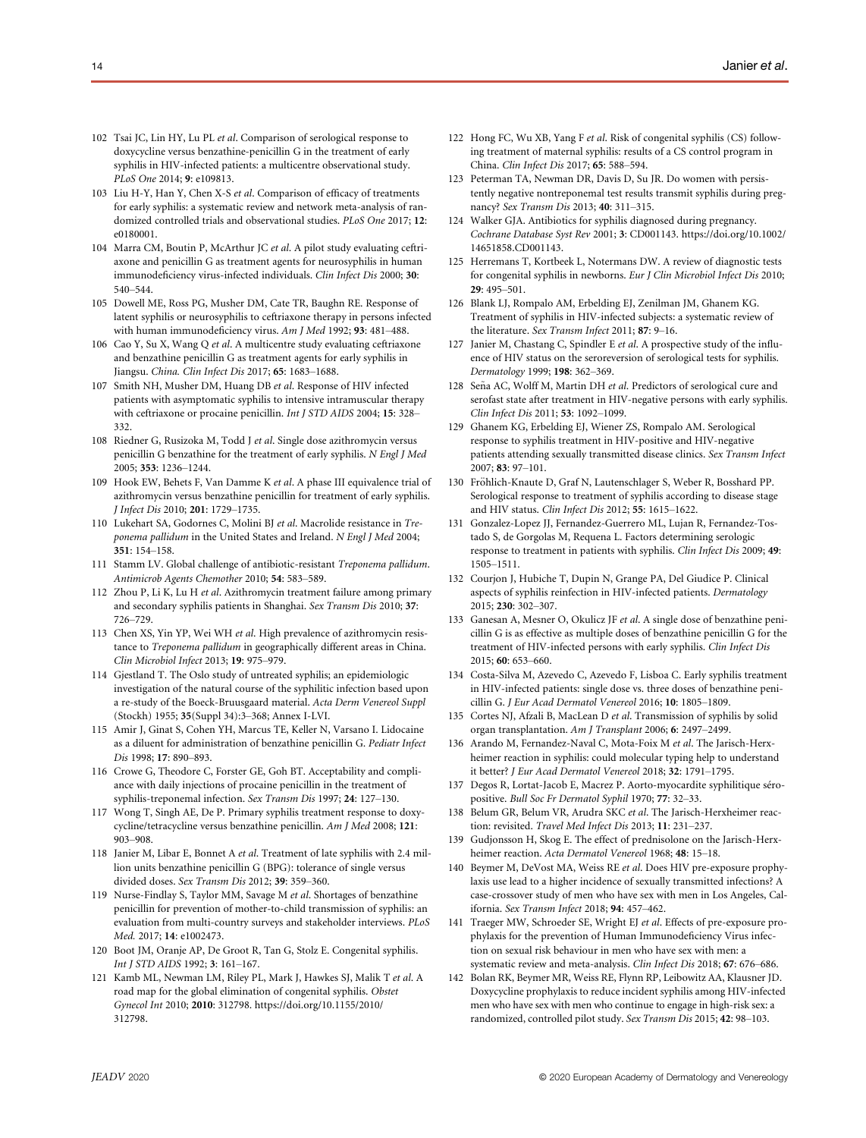- 102 Tsai JC, Lin HY, Lu PL et al. Comparison of serological response to doxycycline versus benzathine-penicillin G in the treatment of early syphilis in HIV-infected patients: a multicentre observational study. PLoS One 2014; 9: e109813.
- 103 Liu H-Y, Han Y, Chen X-S et al. Comparison of efficacy of treatments for early syphilis: a systematic review and network meta-analysis of randomized controlled trials and observational studies. PLoS One 2017; 12: e0180001.
- 104 Marra CM, Boutin P, McArthur JC et al. A pilot study evaluating ceftriaxone and penicillin G as treatment agents for neurosyphilis in human immunodeficiency virus-infected individuals. Clin Infect Dis 2000; 30: 540–544.
- 105 Dowell ME, Ross PG, Musher DM, Cate TR, Baughn RE. Response of latent syphilis or neurosyphilis to ceftriaxone therapy in persons infected with human immunodeficiency virus. Am J Med 1992; 93: 481–488.
- 106 Cao Y, Su X, Wang Q et al. A multicentre study evaluating ceftriaxone and benzathine penicillin G as treatment agents for early syphilis in Jiangsu. China. Clin Infect Dis 2017; 65: 1683–1688.
- 107 Smith NH, Musher DM, Huang DB et al. Response of HIV infected patients with asymptomatic syphilis to intensive intramuscular therapy with ceftriaxone or procaine penicillin. Int J STD AIDS 2004; 15: 328– 332.
- 108 Riedner G, Rusizoka M, Todd J et al. Single dose azithromycin versus penicillin G benzathine for the treatment of early syphilis. N Engl J Med 2005; 353: 1236–1244.
- 109 Hook EW, Behets F, Van Damme K et al. A phase III equivalence trial of azithromycin versus benzathine penicillin for treatment of early syphilis. J Infect Dis 2010; 201: 1729–1735.
- 110 Lukehart SA, Godornes C, Molini BJ et al. Macrolide resistance in Treponema pallidum in the United States and Ireland. N Engl J Med 2004; 351: 154–158.
- 111 Stamm LV. Global challenge of antibiotic-resistant Treponema pallidum. Antimicrob Agents Chemother 2010; 54: 583–589.
- 112 Zhou P, Li K, Lu H et al. Azithromycin treatment failure among primary and secondary syphilis patients in Shanghai. Sex Transm Dis 2010; 37: 726–729.
- 113 Chen XS, Yin YP, Wei WH et al. High prevalence of azithromycin resistance to Treponema pallidum in geographically different areas in China. Clin Microbiol Infect 2013; 19: 975–979.
- 114 Gjestland T. The Oslo study of untreated syphilis; an epidemiologic investigation of the natural course of the syphilitic infection based upon a re-study of the Boeck-Bruusgaard material. Acta Derm Venereol Suppl (Stockh) 1955; 35(Suppl 34):3–368; Annex I-LVI.
- 115 Amir J, Ginat S, Cohen YH, Marcus TE, Keller N, Varsano I. Lidocaine as a diluent for administration of benzathine penicillin G. Pediatr Infect Dis 1998; 17: 890–893.
- 116 Crowe G, Theodore C, Forster GE, Goh BT. Acceptability and compliance with daily injections of procaine penicillin in the treatment of syphilis-treponemal infection. Sex Transm Dis 1997; 24: 127–130.
- 117 Wong T, Singh AE, De P. Primary syphilis treatment response to doxycycline/tetracycline versus benzathine penicillin. Am J Med 2008; 121: 903–908.
- 118 Janier M, Libar E, Bonnet A et al. Treatment of late syphilis with 2.4 million units benzathine penicillin G (BPG): tolerance of single versus divided doses. Sex Transm Dis 2012; 39: 359–360.
- 119 Nurse-Findlay S, Taylor MM, Savage M et al. Shortages of benzathine penicillin for prevention of mother-to-child transmission of syphilis: an evaluation from multi-country surveys and stakeholder interviews. PLoS Med. 2017; 14: e1002473.
- 120 Boot JM, Oranje AP, De Groot R, Tan G, Stolz E. Congenital syphilis. Int J STD AIDS 1992; 3: 161–167.
- 121 Kamb ML, Newman LM, Riley PL, Mark J, Hawkes SJ, Malik T et al. A road map for the global elimination of congenital syphilis. Obstet Gynecol Int 2010; 2010: 312798. [https://doi.org/10.1155/2010/](https://doi.org/10.1155/2010/312798) [312798.](https://doi.org/10.1155/2010/312798)
- 122 Hong FC, Wu XB, Yang F et al. Risk of congenital syphilis (CS) following treatment of maternal syphilis: results of a CS control program in China. Clin Infect Dis 2017; 65: 588–594.
- 123 Peterman TA, Newman DR, Davis D, Su JR. Do women with persistently negative nontreponemal test results transmit syphilis during pregnancy? Sex Transm Dis 2013; 40: 311–315.
- 124 Walker GJA. Antibiotics for syphilis diagnosed during pregnancy. Cochrane Database Syst Rev 2001; 3: CD001143. [https://doi.org/10.1002/](https://doi.org/10.1002/14651858.CD001143) [14651858.CD001143.](https://doi.org/10.1002/14651858.CD001143)
- 125 Herremans T, Kortbeek L, Notermans DW. A review of diagnostic tests for congenital syphilis in newborns. Eur J Clin Microbiol Infect Dis 2010;  $29:495 - 501$ .
- 126 Blank LJ, Rompalo AM, Erbelding EJ, Zenilman JM, Ghanem KG. Treatment of syphilis in HIV-infected subjects: a systematic review of the literature. Sex Transm Infect 2011; 87: 9–16.
- 127 Janier M, Chastang C, Spindler E et al. A prospective study of the influence of HIV status on the seroreversion of serological tests for syphilis. Dermatology 1999; 198: 362–369.
- 128 Seña AC, Wolff M, Martin DH et al. Predictors of serological cure and serofast state after treatment in HIV-negative persons with early syphilis. Clin Infect Dis 2011; 53: 1092–1099.
- 129 Ghanem KG, Erbelding EJ, Wiener ZS, Rompalo AM. Serological response to syphilis treatment in HIV-positive and HIV-negative patients attending sexually transmitted disease clinics. Sex Transm Infect 2007; 83: 97–101.
- 130 Fröhlich-Knaute D, Graf N, Lautenschlager S, Weber R, Bosshard PP. Serological response to treatment of syphilis according to disease stage and HIV status. Clin Infect Dis 2012; 55: 1615–1622.
- 131 Gonzalez-Lopez JJ, Fernandez-Guerrero ML, Lujan R, Fernandez-Tostado S, de Gorgolas M, Requena L. Factors determining serologic response to treatment in patients with syphilis. Clin Infect Dis 2009; 49: 1505–1511.
- 132 Courjon J, Hubiche T, Dupin N, Grange PA, Del Giudice P. Clinical aspects of syphilis reinfection in HIV-infected patients. Dermatology 2015; 230: 302–307.
- 133 Ganesan A, Mesner O, Okulicz JF et al. A single dose of benzathine penicillin G is as effective as multiple doses of benzathine penicillin G for the treatment of HIV-infected persons with early syphilis. Clin Infect Dis 2015; 60: 653–660.
- 134 Costa-Silva M, Azevedo C, Azevedo F, Lisboa C. Early syphilis treatment in HIV-infected patients: single dose vs. three doses of benzathine penicillin G. J Eur Acad Dermatol Venereol 2016; 10: 1805–1809.
- 135 Cortes NJ, Afzali B, MacLean D et al. Transmission of syphilis by solid organ transplantation. Am J Transplant 2006; 6: 2497–2499.
- 136 Arando M, Fernandez-Naval C, Mota-Foix M et al. The Jarisch-Herxheimer reaction in syphilis: could molecular typing help to understand it better? J Eur Acad Dermatol Venereol 2018; 32: 1791–1795.
- 137 Degos R, Lortat-Jacob E, Macrez P. Aorto-myocardite syphilitique séropositive. Bull Soc Fr Dermatol Syphil 1970; 77: 32–33.
- 138 Belum GR, Belum VR, Arudra SKC et al. The Jarisch-Herxheimer reaction: revisited. Travel Med Infect Dis 2013; 11: 231–237.
- 139 Gudjonsson H, Skog E. The effect of prednisolone on the Jarisch-Herxheimer reaction. Acta Dermatol Venereol 1968; 48: 15-18.
- 140 Beymer M, DeVost MA, Weiss RE et al. Does HIV pre-exposure prophylaxis use lead to a higher incidence of sexually transmitted infections? A case-crossover study of men who have sex with men in Los Angeles, California. Sex Transm Infect 2018; 94: 457–462.
- 141 Traeger MW, Schroeder SE, Wright EJ et al. Effects of pre-exposure prophylaxis for the prevention of Human Immunodeficiency Virus infection on sexual risk behaviour in men who have sex with men: a systematic review and meta-analysis. Clin Infect Dis 2018; 67: 676–686.
- 142 Bolan RK, Beymer MR, Weiss RE, Flynn RP, Leibowitz AA, Klausner JD. Doxycycline prophylaxis to reduce incident syphilis among HIV-infected men who have sex with men who continue to engage in high-risk sex: a randomized, controlled pilot study. Sex Transm Dis 2015; 42: 98–103.